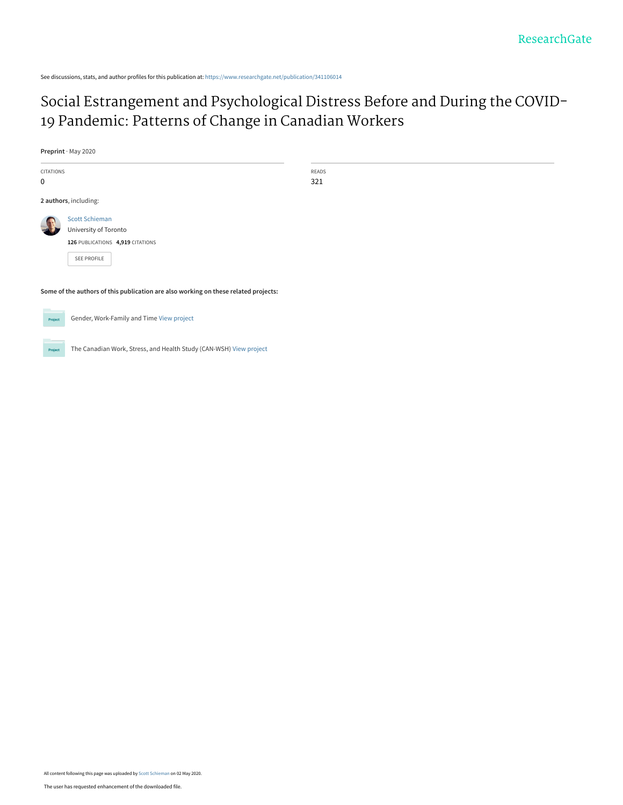See discussions, stats, and author profiles for this publication at: [https://www.researchgate.net/publication/341106014](https://www.researchgate.net/publication/341106014_Social_Estrangement_and_Psychological_Distress_Before_and_During_the_COVID-19_Pandemic_Patterns_of_Change_in_Canadian_Workers?enrichId=rgreq-35bdd59d4aa563e31d03d00745dbf543-XXX&enrichSource=Y292ZXJQYWdlOzM0MTEwNjAxNDtBUzo4ODY4MjgzNDExNDE1MDRAMTU4ODQ0Nzc2MTI4Mg%3D%3D&el=1_x_2&_esc=publicationCoverPdf)

# [Social Estrangement and Psychological Distress Before and During the COVID-](https://www.researchgate.net/publication/341106014_Social_Estrangement_and_Psychological_Distress_Before_and_During_the_COVID-19_Pandemic_Patterns_of_Change_in_Canadian_Workers?enrichId=rgreq-35bdd59d4aa563e31d03d00745dbf543-XXX&enrichSource=Y292ZXJQYWdlOzM0MTEwNjAxNDtBUzo4ODY4MjgzNDExNDE1MDRAMTU4ODQ0Nzc2MTI4Mg%3D%3D&el=1_x_3&_esc=publicationCoverPdf)19 Pandemic: Patterns of Change in Canadian Workers

**Preprint** · May 2020

| CITATIONS |                                                                                     | <b>READS</b> |
|-----------|-------------------------------------------------------------------------------------|--------------|
| 0         |                                                                                     | 321          |
|           | 2 authors, including:                                                               |              |
|           | <b>Scott Schieman</b>                                                               |              |
|           | University of Toronto                                                               |              |
|           | 126 PUBLICATIONS 4,919 CITATIONS                                                    |              |
|           | SEE PROFILE                                                                         |              |
|           | Some of the authors of this publication are also working on these related projects: |              |
|           |                                                                                     |              |



Gender, Work-Family and Time [View project](https://www.researchgate.net/project/Gender-Work-Family-and-Time?enrichId=rgreq-35bdd59d4aa563e31d03d00745dbf543-XXX&enrichSource=Y292ZXJQYWdlOzM0MTEwNjAxNDtBUzo4ODY4MjgzNDExNDE1MDRAMTU4ODQ0Nzc2MTI4Mg%3D%3D&el=1_x_9&_esc=publicationCoverPdf)



The Canadian Work, Stress, and Health Study (CAN-WSH) [View project](https://www.researchgate.net/project/The-Canadian-Work-Stress-and-Health-Study-CAN-WSH?enrichId=rgreq-35bdd59d4aa563e31d03d00745dbf543-XXX&enrichSource=Y292ZXJQYWdlOzM0MTEwNjAxNDtBUzo4ODY4MjgzNDExNDE1MDRAMTU4ODQ0Nzc2MTI4Mg%3D%3D&el=1_x_9&_esc=publicationCoverPdf)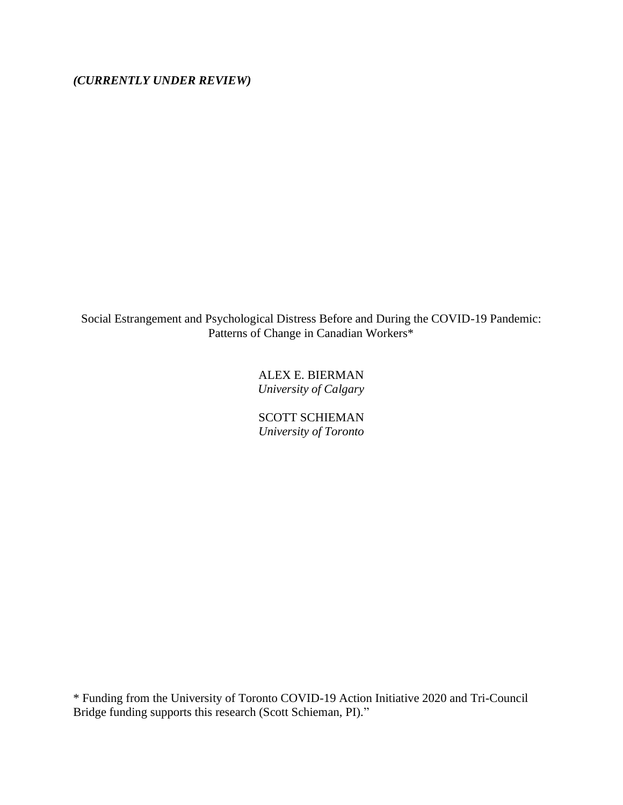*(CURRENTLY UNDER REVIEW)*

Social Estrangement and Psychological Distress Before and During the COVID-19 Pandemic: Patterns of Change in Canadian Workers\*

> ALEX E. BIERMAN *University of Calgary*

> SCOTT SCHIEMAN *University of Toronto*

\* Funding from the University of Toronto COVID-19 Action Initiative 2020 and Tri-Council Bridge funding supports this research (Scott Schieman, PI)."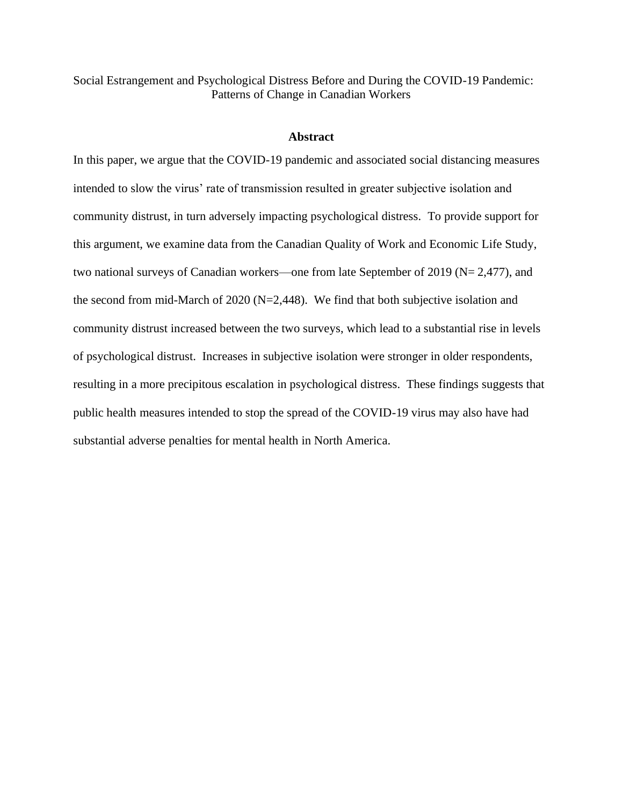Social Estrangement and Psychological Distress Before and During the COVID-19 Pandemic: Patterns of Change in Canadian Workers

## **Abstract**

In this paper, we argue that the COVID-19 pandemic and associated social distancing measures intended to slow the virus' rate of transmission resulted in greater subjective isolation and community distrust, in turn adversely impacting psychological distress. To provide support for this argument, we examine data from the Canadian Quality of Work and Economic Life Study, two national surveys of Canadian workers—one from late September of 2019 (N= 2,477), and the second from mid-March of 2020 (N=2,448). We find that both subjective isolation and community distrust increased between the two surveys, which lead to a substantial rise in levels of psychological distrust. Increases in subjective isolation were stronger in older respondents, resulting in a more precipitous escalation in psychological distress. These findings suggests that public health measures intended to stop the spread of the COVID-19 virus may also have had substantial adverse penalties for mental health in North America.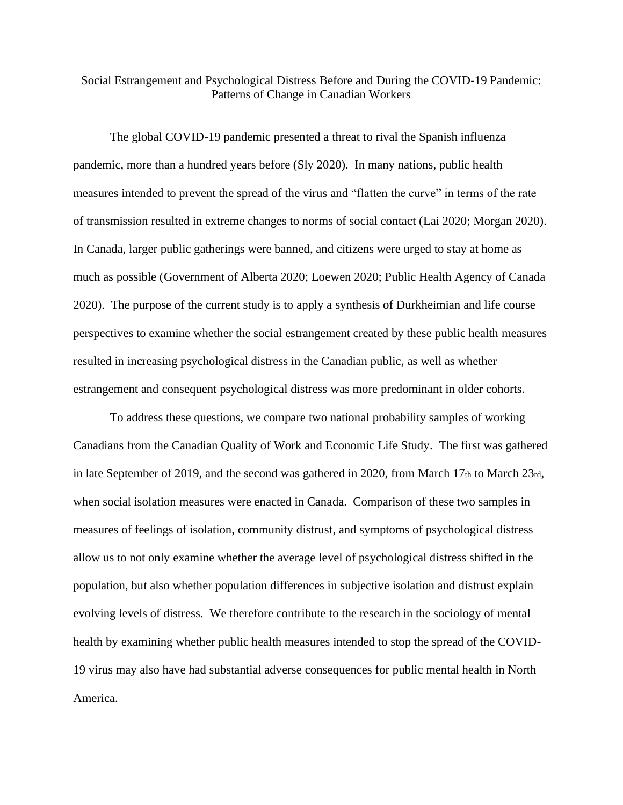# Social Estrangement and Psychological Distress Before and During the COVID-19 Pandemic: Patterns of Change in Canadian Workers

The global COVID-19 pandemic presented a threat to rival the Spanish influenza pandemic, more than a hundred years before (Sly 2020). In many nations, public health measures intended to prevent the spread of the virus and "flatten the curve" in terms of the rate of transmission resulted in extreme changes to norms of social contact (Lai 2020; Morgan 2020). In Canada, larger public gatherings were banned, and citizens were urged to stay at home as much as possible (Government of Alberta 2020; Loewen 2020; Public Health Agency of Canada 2020). The purpose of the current study is to apply a synthesis of Durkheimian and life course perspectives to examine whether the social estrangement created by these public health measures resulted in increasing psychological distress in the Canadian public, as well as whether estrangement and consequent psychological distress was more predominant in older cohorts.

To address these questions, we compare two national probability samples of working Canadians from the Canadian Quality of Work and Economic Life Study. The first was gathered in late September of 2019, and the second was gathered in 2020, from March  $17<sub>th</sub>$  to March  $23<sub>rd</sub>$ , when social isolation measures were enacted in Canada. Comparison of these two samples in measures of feelings of isolation, community distrust, and symptoms of psychological distress allow us to not only examine whether the average level of psychological distress shifted in the population, but also whether population differences in subjective isolation and distrust explain evolving levels of distress. We therefore contribute to the research in the sociology of mental health by examining whether public health measures intended to stop the spread of the COVID-19 virus may also have had substantial adverse consequences for public mental health in North America.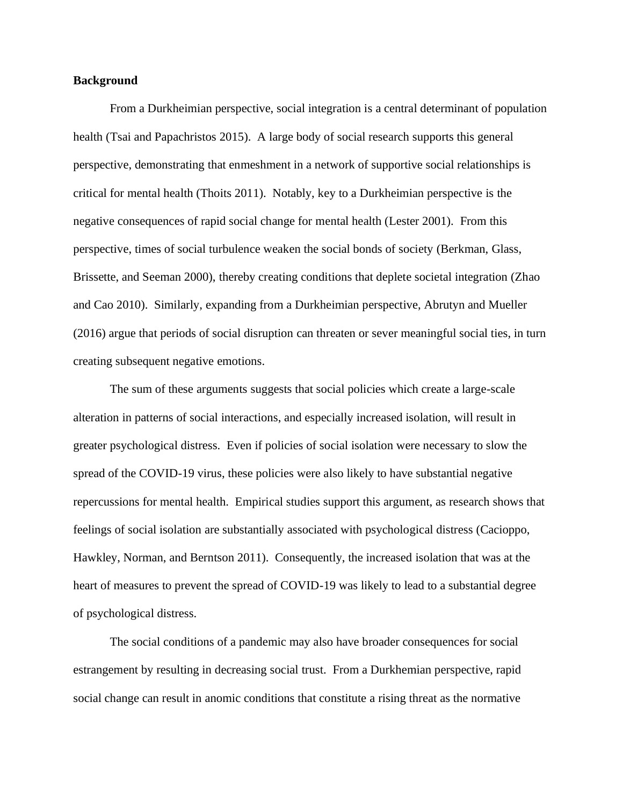## **Background**

From a Durkheimian perspective, social integration is a central determinant of population health (Tsai and Papachristos 2015). A large body of social research supports this general perspective, demonstrating that enmeshment in a network of supportive social relationships is critical for mental health (Thoits 2011). Notably, key to a Durkheimian perspective is the negative consequences of rapid social change for mental health (Lester 2001). From this perspective, times of social turbulence weaken the social bonds of society (Berkman, Glass, Brissette, and Seeman 2000), thereby creating conditions that deplete societal integration (Zhao and Cao 2010). Similarly, expanding from a Durkheimian perspective, Abrutyn and Mueller (2016) argue that periods of social disruption can threaten or sever meaningful social ties, in turn creating subsequent negative emotions.

The sum of these arguments suggests that social policies which create a large-scale alteration in patterns of social interactions, and especially increased isolation, will result in greater psychological distress. Even if policies of social isolation were necessary to slow the spread of the COVID-19 virus, these policies were also likely to have substantial negative repercussions for mental health. Empirical studies support this argument, as research shows that feelings of social isolation are substantially associated with psychological distress (Cacioppo, Hawkley, Norman, and Berntson 2011). Consequently, the increased isolation that was at the heart of measures to prevent the spread of COVID-19 was likely to lead to a substantial degree of psychological distress.

The social conditions of a pandemic may also have broader consequences for social estrangement by resulting in decreasing social trust. From a Durkhemian perspective, rapid social change can result in anomic conditions that constitute a rising threat as the normative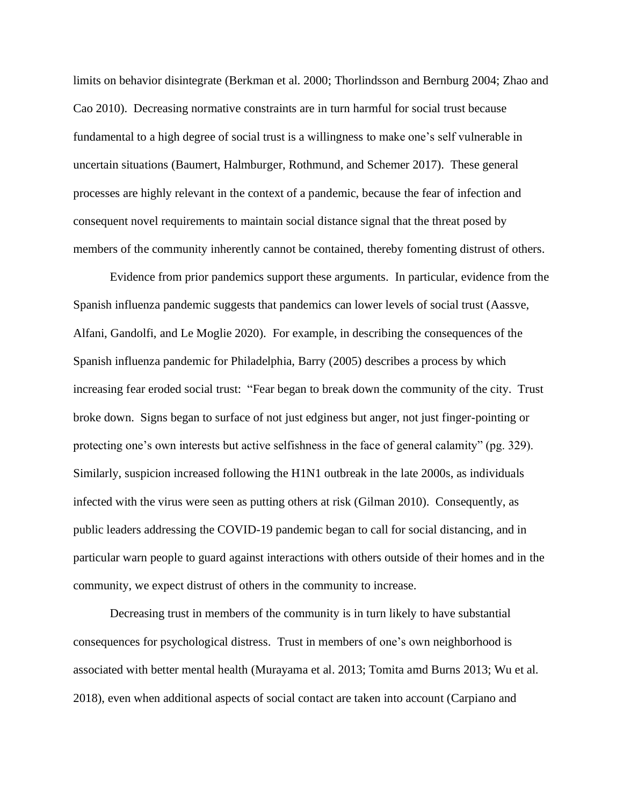limits on behavior disintegrate (Berkman et al. 2000; Thorlindsson and Bernburg 2004; Zhao and Cao 2010). Decreasing normative constraints are in turn harmful for social trust because fundamental to a high degree of social trust is a willingness to make one's self vulnerable in uncertain situations (Baumert, Halmburger, Rothmund, and Schemer 2017). These general processes are highly relevant in the context of a pandemic, because the fear of infection and consequent novel requirements to maintain social distance signal that the threat posed by members of the community inherently cannot be contained, thereby fomenting distrust of others.

Evidence from prior pandemics support these arguments. In particular, evidence from the Spanish influenza pandemic suggests that pandemics can lower levels of social trust (Aassve, Alfani, Gandolfi, and Le Moglie 2020). For example, in describing the consequences of the Spanish influenza pandemic for Philadelphia, Barry (2005) describes a process by which increasing fear eroded social trust: "Fear began to break down the community of the city. Trust broke down. Signs began to surface of not just edginess but anger, not just finger-pointing or protecting one's own interests but active selfishness in the face of general calamity" (pg. 329). Similarly, suspicion increased following the H1N1 outbreak in the late 2000s, as individuals infected with the virus were seen as putting others at risk (Gilman 2010). Consequently, as public leaders addressing the COVID-19 pandemic began to call for social distancing, and in particular warn people to guard against interactions with others outside of their homes and in the community, we expect distrust of others in the community to increase.

Decreasing trust in members of the community is in turn likely to have substantial consequences for psychological distress. Trust in members of one's own neighborhood is associated with better mental health (Murayama et al. 2013; Tomita amd Burns 2013; Wu et al. 2018), even when additional aspects of social contact are taken into account (Carpiano and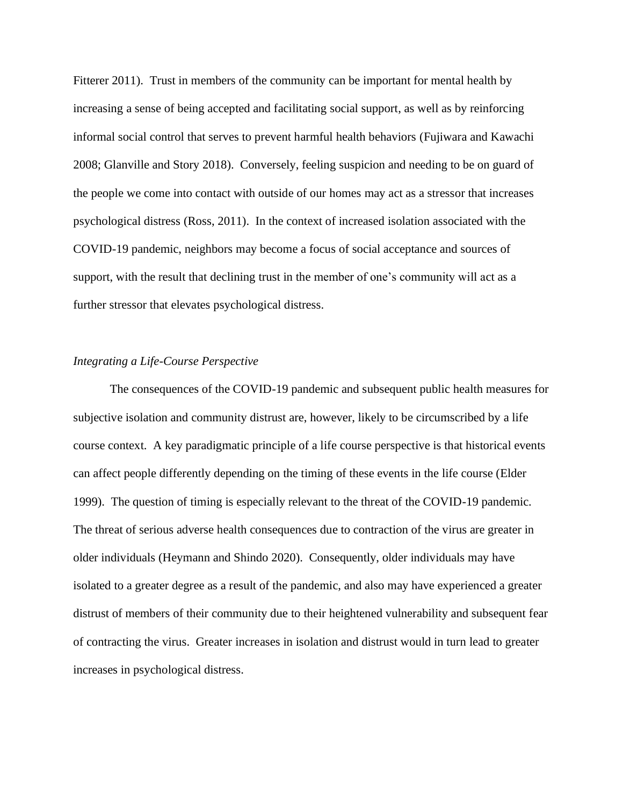Fitterer 2011). Trust in members of the community can be important for mental health by increasing a sense of being accepted and facilitating social support, as well as by reinforcing informal social control that serves to prevent harmful health behaviors (Fujiwara and Kawachi 2008; Glanville and Story 2018). Conversely, feeling suspicion and needing to be on guard of the people we come into contact with outside of our homes may act as a stressor that increases psychological distress (Ross, 2011). In the context of increased isolation associated with the COVID-19 pandemic, neighbors may become a focus of social acceptance and sources of support, with the result that declining trust in the member of one's community will act as a further stressor that elevates psychological distress.

## *Integrating a Life-Course Perspective*

The consequences of the COVID-19 pandemic and subsequent public health measures for subjective isolation and community distrust are, however, likely to be circumscribed by a life course context. A key paradigmatic principle of a life course perspective is that historical events can affect people differently depending on the timing of these events in the life course (Elder 1999). The question of timing is especially relevant to the threat of the COVID-19 pandemic. The threat of serious adverse health consequences due to contraction of the virus are greater in older individuals (Heymann and Shindo 2020). Consequently, older individuals may have isolated to a greater degree as a result of the pandemic, and also may have experienced a greater distrust of members of their community due to their heightened vulnerability and subsequent fear of contracting the virus. Greater increases in isolation and distrust would in turn lead to greater increases in psychological distress.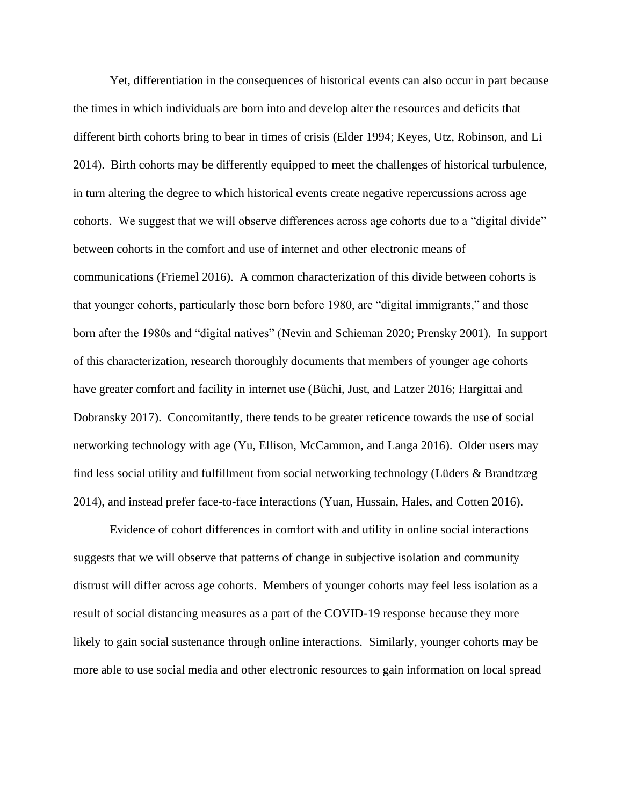Yet, differentiation in the consequences of historical events can also occur in part because the times in which individuals are born into and develop alter the resources and deficits that different birth cohorts bring to bear in times of crisis (Elder 1994; Keyes, Utz, Robinson, and Li 2014). Birth cohorts may be differently equipped to meet the challenges of historical turbulence, in turn altering the degree to which historical events create negative repercussions across age cohorts. We suggest that we will observe differences across age cohorts due to a "digital divide" between cohorts in the comfort and use of internet and other electronic means of communications (Friemel 2016). A common characterization of this divide between cohorts is that younger cohorts, particularly those born before 1980, are "digital immigrants," and those born after the 1980s and "digital natives" (Nevin and Schieman 2020; Prensky 2001). In support of this characterization, research thoroughly documents that members of younger age cohorts have greater comfort and facility in internet use (Büchi, Just, and Latzer 2016; Hargittai and Dobransky 2017). Concomitantly, there tends to be greater reticence towards the use of social networking technology with age (Yu, Ellison, McCammon, and Langa 2016). Older users may find less social utility and fulfillment from social networking technology (Lüders & Brandtzæg 2014), and instead prefer face-to-face interactions (Yuan, Hussain, Hales, and Cotten 2016).

Evidence of cohort differences in comfort with and utility in online social interactions suggests that we will observe that patterns of change in subjective isolation and community distrust will differ across age cohorts. Members of younger cohorts may feel less isolation as a result of social distancing measures as a part of the COVID-19 response because they more likely to gain social sustenance through online interactions. Similarly, younger cohorts may be more able to use social media and other electronic resources to gain information on local spread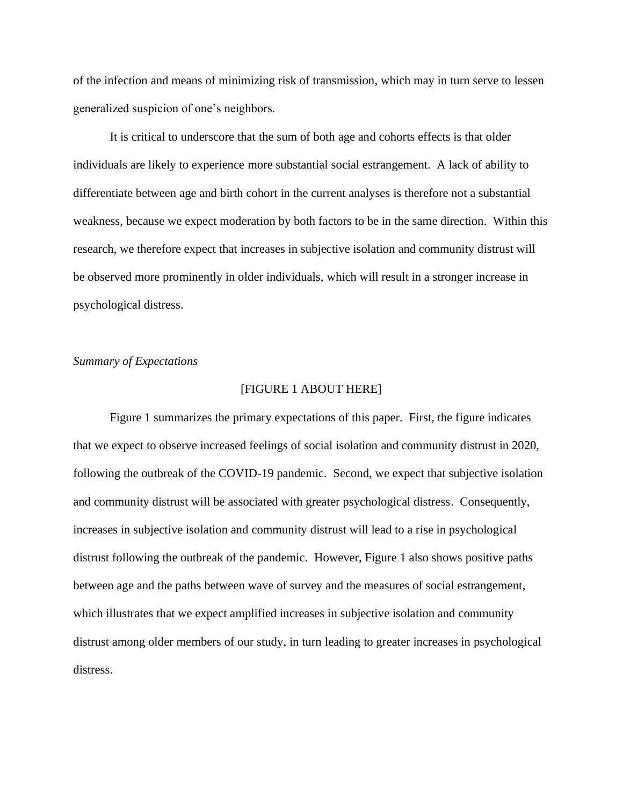of the infection and means of minimizing risk of transmission, which may in turn serve to lessen generalized suspicion of one's neighbors.

It is critical to underscore that the sum of both age and cohorts effects is that older individuals are likely to experience more substantial social estrangement. A lack of ability to differentiate between age and birth cohort in the current analyses is therefore not a substantial weakness, because we expect moderation by both factors to be in the same direction. Within this research, we therefore expect that increases in subjective isolation and community distrust will be observed more prominently in older individuals, which will result in a stronger increase in psychological distress.

## *Summary of Expectations*

#### [FIGURE 1 ABOUT HERE]

Figure 1 summarizes the primary expectations of this paper. First, the figure indicates that we expect to observe increased feelings of social isolation and community distrust in 2020, following the outbreak of the COVID-19 pandemic. Second, we expect that subjective isolation and community distrust will be associated with greater psychological distress. Consequently, increases in subjective isolation and community distrust will lead to a rise in psychological distrust following the outbreak of the pandemic. However, Figure 1 also shows positive paths between age and the paths between wave of survey and the measures of social estrangement, which illustrates that we expect amplified increases in subjective isolation and community distrust among older members of our study, in turn leading to greater increases in psychological distress.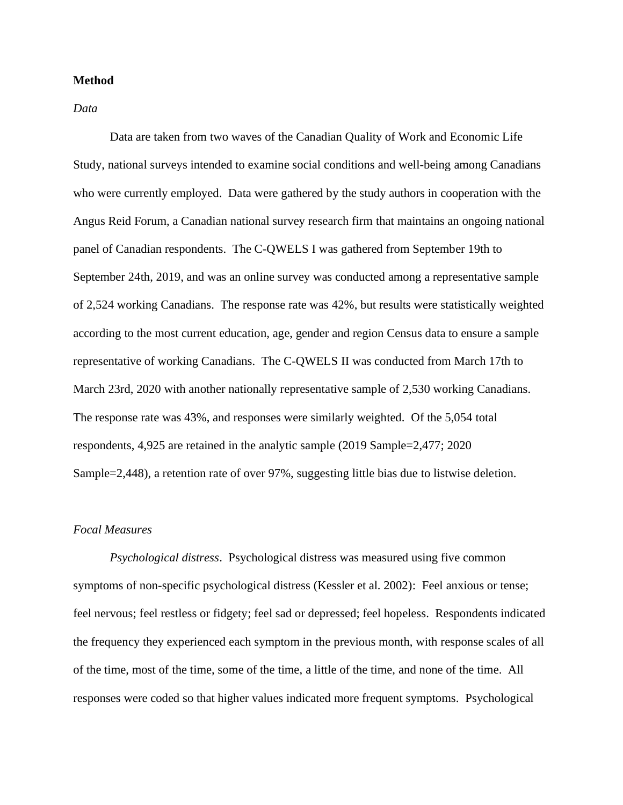# **Method**

*Data*

Data are taken from two waves of the Canadian Quality of Work and Economic Life Study, national surveys intended to examine social conditions and well-being among Canadians who were currently employed. Data were gathered by the study authors in cooperation with the Angus Reid Forum, a Canadian national survey research firm that maintains an ongoing national panel of Canadian respondents. The C-QWELS I was gathered from September 19th to September 24th, 2019, and was an online survey was conducted among a representative sample of 2,524 working Canadians. The response rate was 42%, but results were statistically weighted according to the most current education, age, gender and region Census data to ensure a sample representative of working Canadians. The C-QWELS II was conducted from March 17th to March 23rd, 2020 with another nationally representative sample of 2,530 working Canadians. The response rate was 43%, and responses were similarly weighted. Of the 5,054 total respondents, 4,925 are retained in the analytic sample (2019 Sample=2,477; 2020 Sample=2,448), a retention rate of over 97%, suggesting little bias due to listwise deletion.

# *Focal Measures*

*Psychological distress*. Psychological distress was measured using five common symptoms of non-specific psychological distress (Kessler et al. 2002): Feel anxious or tense; feel nervous; feel restless or fidgety; feel sad or depressed; feel hopeless. Respondents indicated the frequency they experienced each symptom in the previous month, with response scales of all of the time, most of the time, some of the time, a little of the time, and none of the time. All responses were coded so that higher values indicated more frequent symptoms. Psychological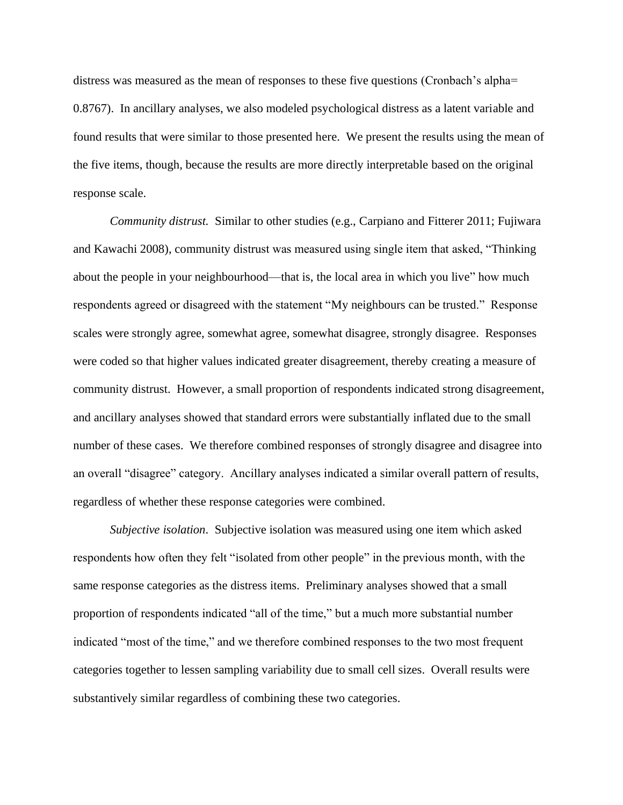distress was measured as the mean of responses to these five questions (Cronbach's alpha= 0.8767). In ancillary analyses, we also modeled psychological distress as a latent variable and found results that were similar to those presented here. We present the results using the mean of the five items, though, because the results are more directly interpretable based on the original response scale.

*Community distrust.* Similar to other studies (e.g., Carpiano and Fitterer 2011; Fujiwara and Kawachi 2008), community distrust was measured using single item that asked, "Thinking about the people in your neighbourhood—that is, the local area in which you live" how much respondents agreed or disagreed with the statement "My neighbours can be trusted." Response scales were strongly agree, somewhat agree, somewhat disagree, strongly disagree. Responses were coded so that higher values indicated greater disagreement, thereby creating a measure of community distrust. However, a small proportion of respondents indicated strong disagreement, and ancillary analyses showed that standard errors were substantially inflated due to the small number of these cases. We therefore combined responses of strongly disagree and disagree into an overall "disagree" category. Ancillary analyses indicated a similar overall pattern of results, regardless of whether these response categories were combined.

*Subjective isolation*. Subjective isolation was measured using one item which asked respondents how often they felt "isolated from other people" in the previous month, with the same response categories as the distress items. Preliminary analyses showed that a small proportion of respondents indicated "all of the time," but a much more substantial number indicated "most of the time," and we therefore combined responses to the two most frequent categories together to lessen sampling variability due to small cell sizes. Overall results were substantively similar regardless of combining these two categories.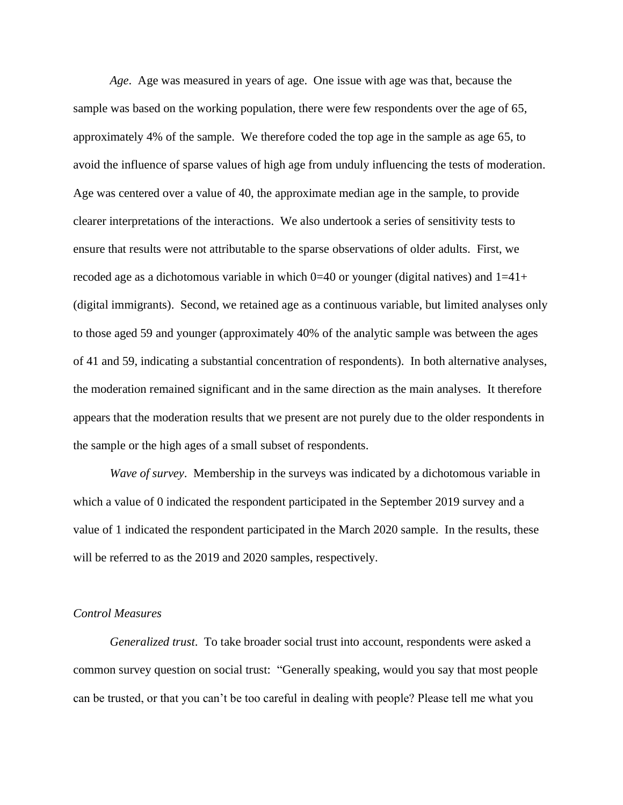*Age*. Age was measured in years of age. One issue with age was that, because the sample was based on the working population, there were few respondents over the age of 65, approximately 4% of the sample. We therefore coded the top age in the sample as age 65, to avoid the influence of sparse values of high age from unduly influencing the tests of moderation. Age was centered over a value of 40, the approximate median age in the sample, to provide clearer interpretations of the interactions. We also undertook a series of sensitivity tests to ensure that results were not attributable to the sparse observations of older adults. First, we recoded age as a dichotomous variable in which  $0=40$  or younger (digital natives) and  $1=41+$ (digital immigrants). Second, we retained age as a continuous variable, but limited analyses only to those aged 59 and younger (approximately 40% of the analytic sample was between the ages of 41 and 59, indicating a substantial concentration of respondents). In both alternative analyses, the moderation remained significant and in the same direction as the main analyses. It therefore appears that the moderation results that we present are not purely due to the older respondents in the sample or the high ages of a small subset of respondents.

*Wave of survey*. Membership in the surveys was indicated by a dichotomous variable in which a value of 0 indicated the respondent participated in the September 2019 survey and a value of 1 indicated the respondent participated in the March 2020 sample. In the results, these will be referred to as the 2019 and 2020 samples, respectively.

## *Control Measures*

*Generalized trust*. To take broader social trust into account, respondents were asked a common survey question on social trust: "Generally speaking, would you say that most people can be trusted, or that you can't be too careful in dealing with people? Please tell me what you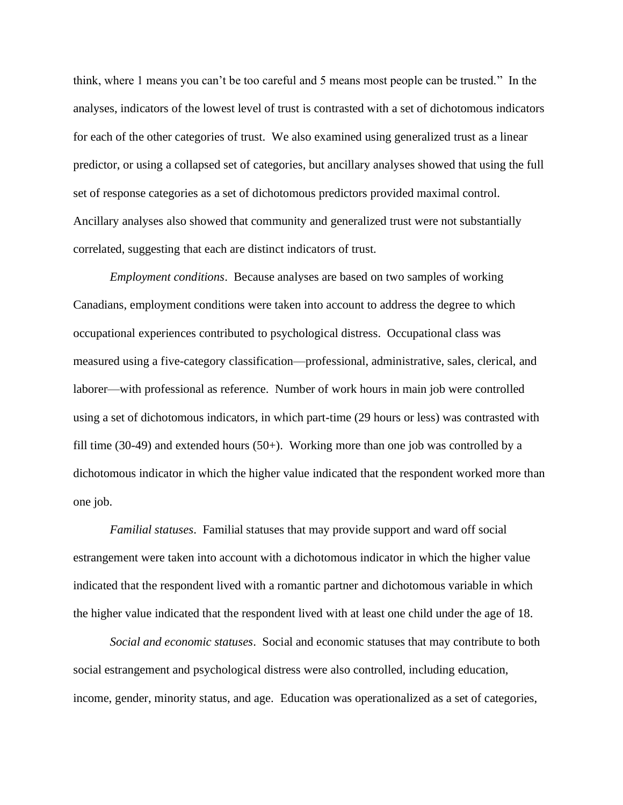think, where 1 means you can't be too careful and 5 means most people can be trusted." In the analyses, indicators of the lowest level of trust is contrasted with a set of dichotomous indicators for each of the other categories of trust. We also examined using generalized trust as a linear predictor, or using a collapsed set of categories, but ancillary analyses showed that using the full set of response categories as a set of dichotomous predictors provided maximal control. Ancillary analyses also showed that community and generalized trust were not substantially correlated, suggesting that each are distinct indicators of trust.

*Employment conditions*. Because analyses are based on two samples of working Canadians, employment conditions were taken into account to address the degree to which occupational experiences contributed to psychological distress. Occupational class was measured using a five-category classification—professional, administrative, sales, clerical, and laborer—with professional as reference. Number of work hours in main job were controlled using a set of dichotomous indicators, in which part-time (29 hours or less) was contrasted with fill time (30-49) and extended hours (50+). Working more than one job was controlled by a dichotomous indicator in which the higher value indicated that the respondent worked more than one job.

*Familial statuses*. Familial statuses that may provide support and ward off social estrangement were taken into account with a dichotomous indicator in which the higher value indicated that the respondent lived with a romantic partner and dichotomous variable in which the higher value indicated that the respondent lived with at least one child under the age of 18.

*Social and economic statuses*. Social and economic statuses that may contribute to both social estrangement and psychological distress were also controlled, including education, income, gender, minority status, and age. Education was operationalized as a set of categories,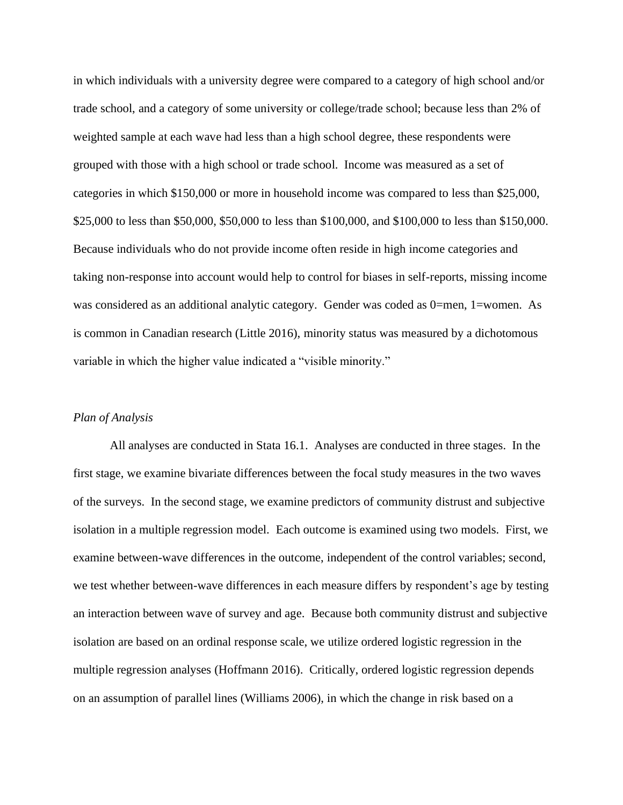in which individuals with a university degree were compared to a category of high school and/or trade school, and a category of some university or college/trade school; because less than 2% of weighted sample at each wave had less than a high school degree, these respondents were grouped with those with a high school or trade school. Income was measured as a set of categories in which \$150,000 or more in household income was compared to less than \$25,000, \$25,000 to less than \$50,000, \$50,000 to less than \$100,000, and \$100,000 to less than \$150,000. Because individuals who do not provide income often reside in high income categories and taking non-response into account would help to control for biases in self-reports, missing income was considered as an additional analytic category. Gender was coded as 0=men, 1=women. As is common in Canadian research (Little 2016), minority status was measured by a dichotomous variable in which the higher value indicated a "visible minority."

#### *Plan of Analysis*

All analyses are conducted in Stata 16.1. Analyses are conducted in three stages. In the first stage, we examine bivariate differences between the focal study measures in the two waves of the surveys. In the second stage, we examine predictors of community distrust and subjective isolation in a multiple regression model. Each outcome is examined using two models. First, we examine between-wave differences in the outcome, independent of the control variables; second, we test whether between-wave differences in each measure differs by respondent's age by testing an interaction between wave of survey and age. Because both community distrust and subjective isolation are based on an ordinal response scale, we utilize ordered logistic regression in the multiple regression analyses (Hoffmann 2016). Critically, ordered logistic regression depends on an assumption of parallel lines (Williams 2006), in which the change in risk based on a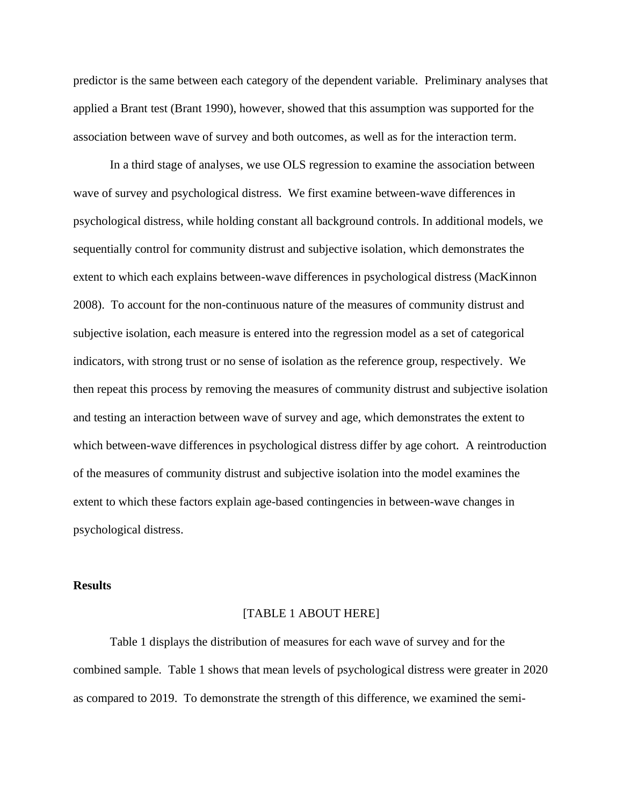predictor is the same between each category of the dependent variable. Preliminary analyses that applied a Brant test (Brant 1990), however, showed that this assumption was supported for the association between wave of survey and both outcomes, as well as for the interaction term.

In a third stage of analyses, we use OLS regression to examine the association between wave of survey and psychological distress. We first examine between-wave differences in psychological distress, while holding constant all background controls. In additional models, we sequentially control for community distrust and subjective isolation, which demonstrates the extent to which each explains between-wave differences in psychological distress (MacKinnon 2008). To account for the non-continuous nature of the measures of community distrust and subjective isolation, each measure is entered into the regression model as a set of categorical indicators, with strong trust or no sense of isolation as the reference group, respectively. We then repeat this process by removing the measures of community distrust and subjective isolation and testing an interaction between wave of survey and age, which demonstrates the extent to which between-wave differences in psychological distress differ by age cohort. A reintroduction of the measures of community distrust and subjective isolation into the model examines the extent to which these factors explain age-based contingencies in between-wave changes in psychological distress.

### **Results**

#### [TABLE 1 ABOUT HERE]

Table 1 displays the distribution of measures for each wave of survey and for the combined sample. Table 1 shows that mean levels of psychological distress were greater in 2020 as compared to 2019. To demonstrate the strength of this difference, we examined the semi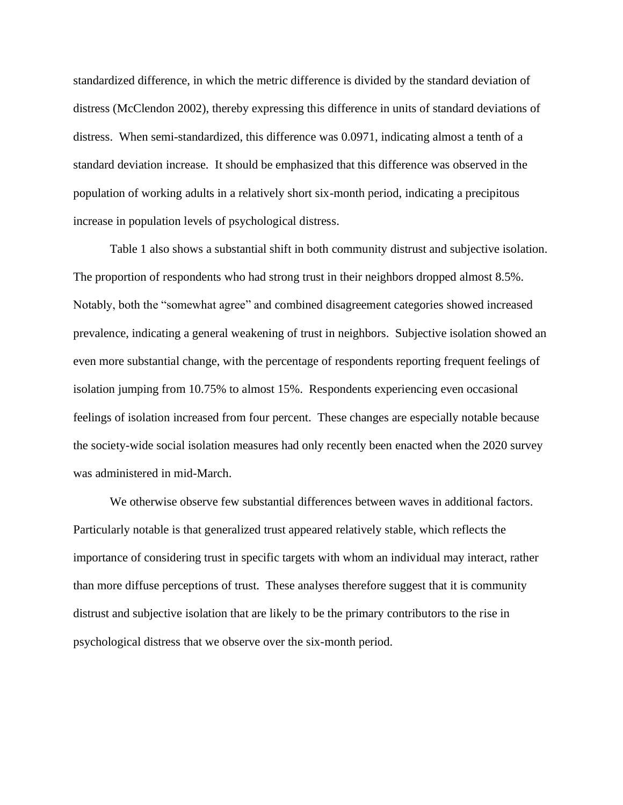standardized difference, in which the metric difference is divided by the standard deviation of distress (McClendon 2002), thereby expressing this difference in units of standard deviations of distress. When semi-standardized, this difference was 0.0971, indicating almost a tenth of a standard deviation increase. It should be emphasized that this difference was observed in the population of working adults in a relatively short six-month period, indicating a precipitous increase in population levels of psychological distress.

Table 1 also shows a substantial shift in both community distrust and subjective isolation. The proportion of respondents who had strong trust in their neighbors dropped almost 8.5%. Notably, both the "somewhat agree" and combined disagreement categories showed increased prevalence, indicating a general weakening of trust in neighbors. Subjective isolation showed an even more substantial change, with the percentage of respondents reporting frequent feelings of isolation jumping from 10.75% to almost 15%. Respondents experiencing even occasional feelings of isolation increased from four percent. These changes are especially notable because the society-wide social isolation measures had only recently been enacted when the 2020 survey was administered in mid-March.

We otherwise observe few substantial differences between waves in additional factors. Particularly notable is that generalized trust appeared relatively stable, which reflects the importance of considering trust in specific targets with whom an individual may interact, rather than more diffuse perceptions of trust. These analyses therefore suggest that it is community distrust and subjective isolation that are likely to be the primary contributors to the rise in psychological distress that we observe over the six-month period.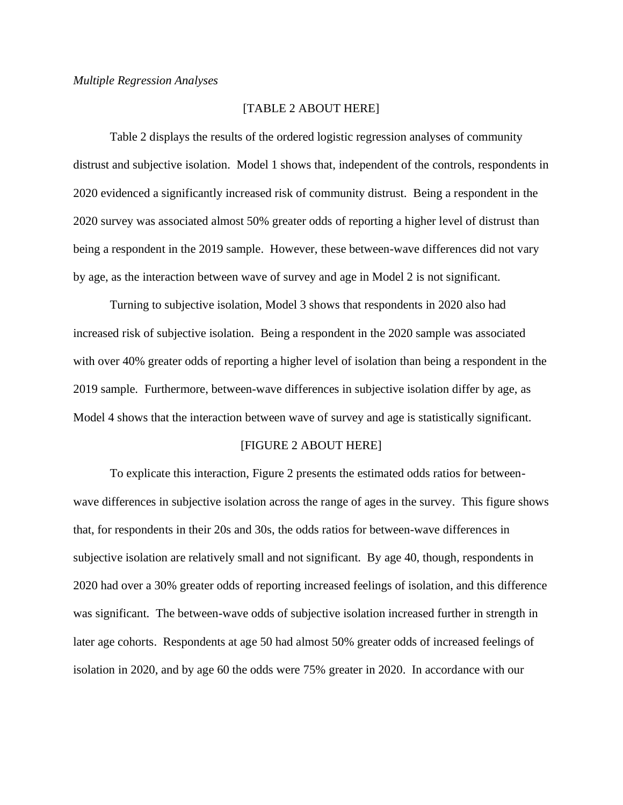# [TABLE 2 ABOUT HERE]

Table 2 displays the results of the ordered logistic regression analyses of community distrust and subjective isolation. Model 1 shows that, independent of the controls, respondents in 2020 evidenced a significantly increased risk of community distrust. Being a respondent in the 2020 survey was associated almost 50% greater odds of reporting a higher level of distrust than being a respondent in the 2019 sample. However, these between-wave differences did not vary by age, as the interaction between wave of survey and age in Model 2 is not significant.

Turning to subjective isolation, Model 3 shows that respondents in 2020 also had increased risk of subjective isolation. Being a respondent in the 2020 sample was associated with over 40% greater odds of reporting a higher level of isolation than being a respondent in the 2019 sample. Furthermore, between-wave differences in subjective isolation differ by age, as Model 4 shows that the interaction between wave of survey and age is statistically significant.

#### [FIGURE 2 ABOUT HERE]

To explicate this interaction, Figure 2 presents the estimated odds ratios for betweenwave differences in subjective isolation across the range of ages in the survey. This figure shows that, for respondents in their 20s and 30s, the odds ratios for between-wave differences in subjective isolation are relatively small and not significant. By age 40, though, respondents in 2020 had over a 30% greater odds of reporting increased feelings of isolation, and this difference was significant. The between-wave odds of subjective isolation increased further in strength in later age cohorts. Respondents at age 50 had almost 50% greater odds of increased feelings of isolation in 2020, and by age 60 the odds were 75% greater in 2020. In accordance with our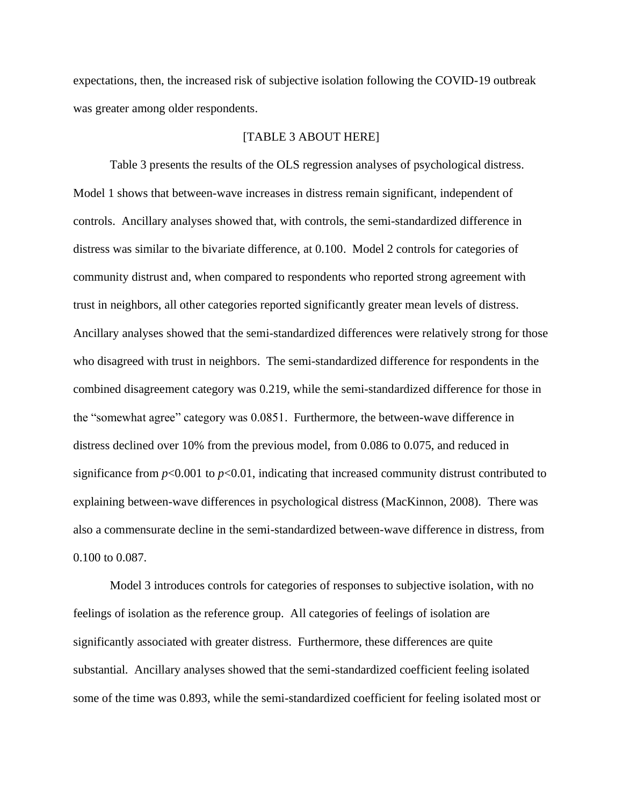expectations, then, the increased risk of subjective isolation following the COVID-19 outbreak was greater among older respondents.

# [TABLE 3 ABOUT HERE]

Table 3 presents the results of the OLS regression analyses of psychological distress. Model 1 shows that between-wave increases in distress remain significant, independent of controls. Ancillary analyses showed that, with controls, the semi-standardized difference in distress was similar to the bivariate difference, at 0.100. Model 2 controls for categories of community distrust and, when compared to respondents who reported strong agreement with trust in neighbors, all other categories reported significantly greater mean levels of distress. Ancillary analyses showed that the semi-standardized differences were relatively strong for those who disagreed with trust in neighbors. The semi-standardized difference for respondents in the combined disagreement category was 0.219, while the semi-standardized difference for those in the "somewhat agree" category was 0.0851. Furthermore, the between-wave difference in distress declined over 10% from the previous model, from 0.086 to 0.075, and reduced in significance from  $p<0.001$  to  $p<0.01$ , indicating that increased community distrust contributed to explaining between-wave differences in psychological distress (MacKinnon, 2008). There was also a commensurate decline in the semi-standardized between-wave difference in distress, from 0.100 to 0.087.

Model 3 introduces controls for categories of responses to subjective isolation, with no feelings of isolation as the reference group. All categories of feelings of isolation are significantly associated with greater distress. Furthermore, these differences are quite substantial. Ancillary analyses showed that the semi-standardized coefficient feeling isolated some of the time was 0.893, while the semi-standardized coefficient for feeling isolated most or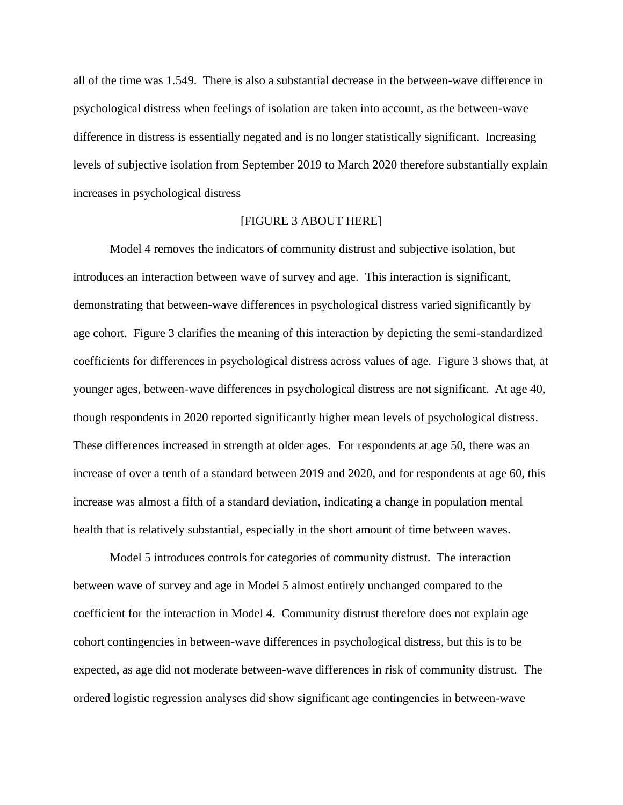all of the time was 1.549. There is also a substantial decrease in the between-wave difference in psychological distress when feelings of isolation are taken into account, as the between-wave difference in distress is essentially negated and is no longer statistically significant. Increasing levels of subjective isolation from September 2019 to March 2020 therefore substantially explain increases in psychological distress

# [FIGURE 3 ABOUT HERE]

Model 4 removes the indicators of community distrust and subjective isolation, but introduces an interaction between wave of survey and age. This interaction is significant, demonstrating that between-wave differences in psychological distress varied significantly by age cohort. Figure 3 clarifies the meaning of this interaction by depicting the semi-standardized coefficients for differences in psychological distress across values of age. Figure 3 shows that, at younger ages, between-wave differences in psychological distress are not significant. At age 40, though respondents in 2020 reported significantly higher mean levels of psychological distress. These differences increased in strength at older ages. For respondents at age 50, there was an increase of over a tenth of a standard between 2019 and 2020, and for respondents at age 60, this increase was almost a fifth of a standard deviation, indicating a change in population mental health that is relatively substantial, especially in the short amount of time between waves.

Model 5 introduces controls for categories of community distrust. The interaction between wave of survey and age in Model 5 almost entirely unchanged compared to the coefficient for the interaction in Model 4. Community distrust therefore does not explain age cohort contingencies in between-wave differences in psychological distress, but this is to be expected, as age did not moderate between-wave differences in risk of community distrust. The ordered logistic regression analyses did show significant age contingencies in between-wave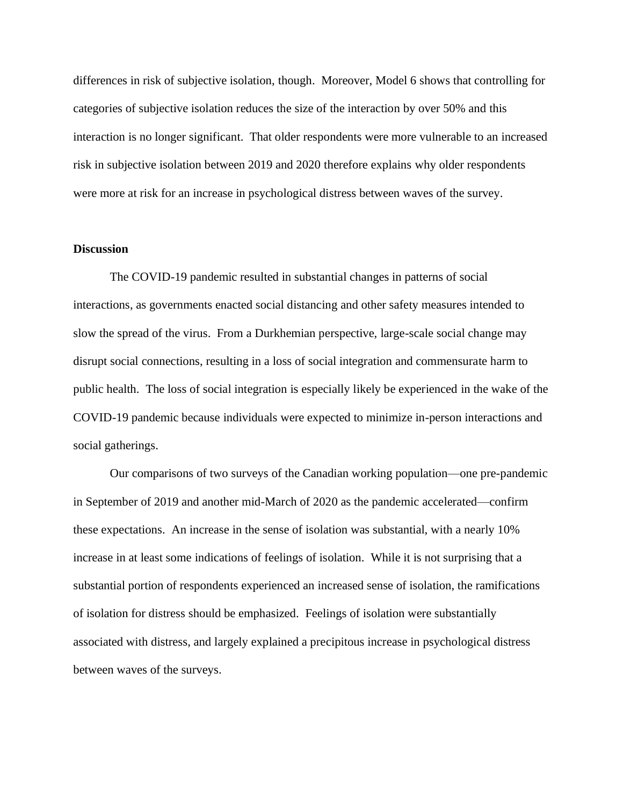differences in risk of subjective isolation, though. Moreover, Model 6 shows that controlling for categories of subjective isolation reduces the size of the interaction by over 50% and this interaction is no longer significant. That older respondents were more vulnerable to an increased risk in subjective isolation between 2019 and 2020 therefore explains why older respondents were more at risk for an increase in psychological distress between waves of the survey.

## **Discussion**

The COVID-19 pandemic resulted in substantial changes in patterns of social interactions, as governments enacted social distancing and other safety measures intended to slow the spread of the virus. From a Durkhemian perspective, large-scale social change may disrupt social connections, resulting in a loss of social integration and commensurate harm to public health. The loss of social integration is especially likely be experienced in the wake of the COVID-19 pandemic because individuals were expected to minimize in-person interactions and social gatherings.

Our comparisons of two surveys of the Canadian working population—one pre-pandemic in September of 2019 and another mid-March of 2020 as the pandemic accelerated—confirm these expectations. An increase in the sense of isolation was substantial, with a nearly 10% increase in at least some indications of feelings of isolation. While it is not surprising that a substantial portion of respondents experienced an increased sense of isolation, the ramifications of isolation for distress should be emphasized. Feelings of isolation were substantially associated with distress, and largely explained a precipitous increase in psychological distress between waves of the surveys.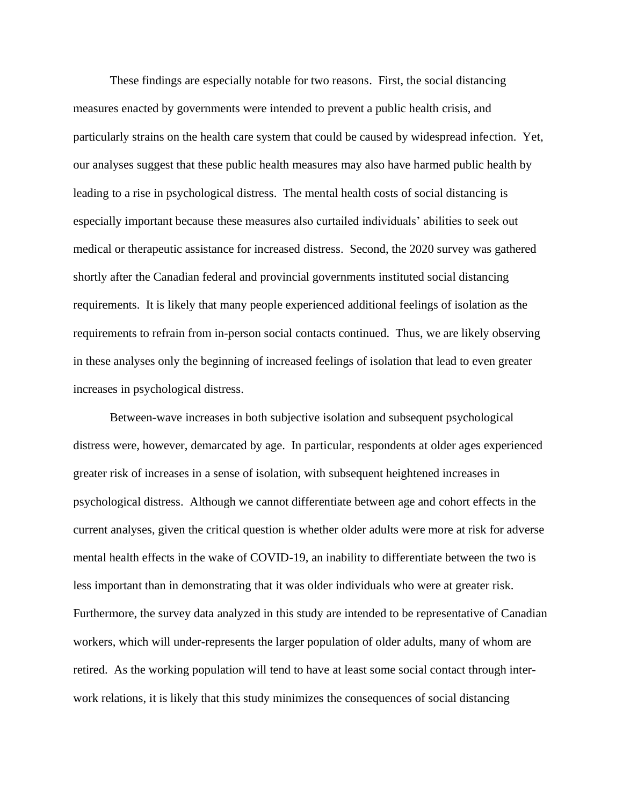These findings are especially notable for two reasons. First, the social distancing measures enacted by governments were intended to prevent a public health crisis, and particularly strains on the health care system that could be caused by widespread infection. Yet, our analyses suggest that these public health measures may also have harmed public health by leading to a rise in psychological distress. The mental health costs of social distancing is especially important because these measures also curtailed individuals' abilities to seek out medical or therapeutic assistance for increased distress. Second, the 2020 survey was gathered shortly after the Canadian federal and provincial governments instituted social distancing requirements. It is likely that many people experienced additional feelings of isolation as the requirements to refrain from in-person social contacts continued. Thus, we are likely observing in these analyses only the beginning of increased feelings of isolation that lead to even greater increases in psychological distress.

Between-wave increases in both subjective isolation and subsequent psychological distress were, however, demarcated by age. In particular, respondents at older ages experienced greater risk of increases in a sense of isolation, with subsequent heightened increases in psychological distress. Although we cannot differentiate between age and cohort effects in the current analyses, given the critical question is whether older adults were more at risk for adverse mental health effects in the wake of COVID-19, an inability to differentiate between the two is less important than in demonstrating that it was older individuals who were at greater risk. Furthermore, the survey data analyzed in this study are intended to be representative of Canadian workers, which will under-represents the larger population of older adults, many of whom are retired. As the working population will tend to have at least some social contact through interwork relations, it is likely that this study minimizes the consequences of social distancing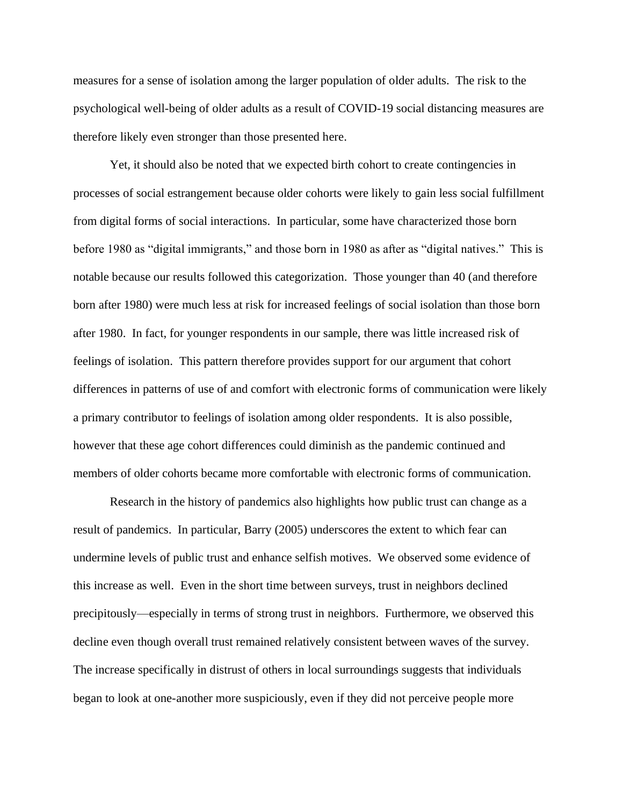measures for a sense of isolation among the larger population of older adults. The risk to the psychological well-being of older adults as a result of COVID-19 social distancing measures are therefore likely even stronger than those presented here.

Yet, it should also be noted that we expected birth cohort to create contingencies in processes of social estrangement because older cohorts were likely to gain less social fulfillment from digital forms of social interactions. In particular, some have characterized those born before 1980 as "digital immigrants," and those born in 1980 as after as "digital natives." This is notable because our results followed this categorization. Those younger than 40 (and therefore born after 1980) were much less at risk for increased feelings of social isolation than those born after 1980. In fact, for younger respondents in our sample, there was little increased risk of feelings of isolation. This pattern therefore provides support for our argument that cohort differences in patterns of use of and comfort with electronic forms of communication were likely a primary contributor to feelings of isolation among older respondents. It is also possible, however that these age cohort differences could diminish as the pandemic continued and members of older cohorts became more comfortable with electronic forms of communication.

Research in the history of pandemics also highlights how public trust can change as a result of pandemics. In particular, Barry (2005) underscores the extent to which fear can undermine levels of public trust and enhance selfish motives. We observed some evidence of this increase as well. Even in the short time between surveys, trust in neighbors declined precipitously—especially in terms of strong trust in neighbors. Furthermore, we observed this decline even though overall trust remained relatively consistent between waves of the survey. The increase specifically in distrust of others in local surroundings suggests that individuals began to look at one-another more suspiciously, even if they did not perceive people more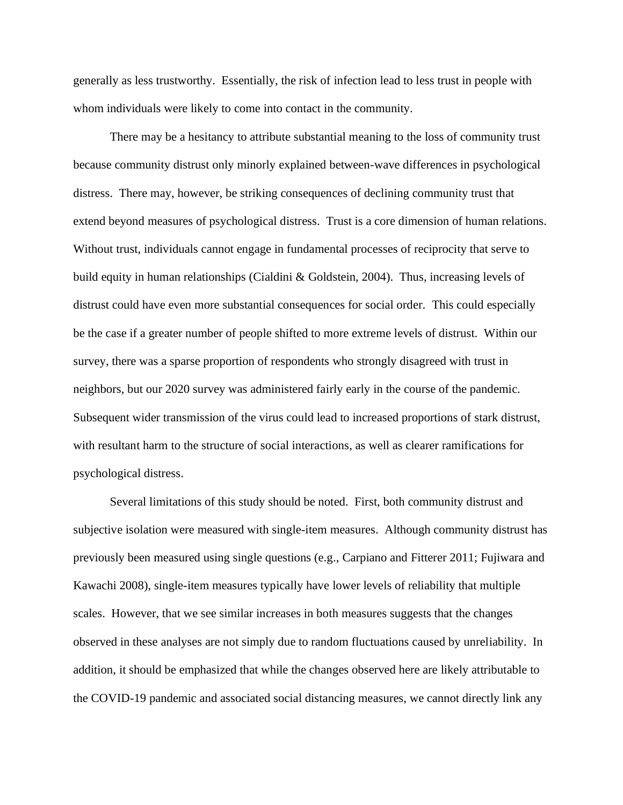generally as less trustworthy. Essentially, the risk of infection lead to less trust in people with whom individuals were likely to come into contact in the community.

There may be a hesitancy to attribute substantial meaning to the loss of community trust because community distrust only minorly explained between-wave differences in psychological distress. There may, however, be striking consequences of declining community trust that extend beyond measures of psychological distress. Trust is a core dimension of human relations. Without trust, individuals cannot engage in fundamental processes of reciprocity that serve to build equity in human relationships (Cialdini & Goldstein, 2004). Thus, increasing levels of distrust could have even more substantial consequences for social order. This could especially be the case if a greater number of people shifted to more extreme levels of distrust. Within our survey, there was a sparse proportion of respondents who strongly disagreed with trust in neighbors, but our 2020 survey was administered fairly early in the course of the pandemic. Subsequent wider transmission of the virus could lead to increased proportions of stark distrust, with resultant harm to the structure of social interactions, as well as clearer ramifications for psychological distress.

Several limitations of this study should be noted. First, both community distrust and subjective isolation were measured with single-item measures. Although community distrust has previously been measured using single questions (e.g., Carpiano and Fitterer 2011; Fujiwara and Kawachi 2008), single-item measures typically have lower levels of reliability that multiple scales. However, that we see similar increases in both measures suggests that the changes observed in these analyses are not simply due to random fluctuations caused by unreliability. In addition, it should be emphasized that while the changes observed here are likely attributable to the COVID-19 pandemic and associated social distancing measures, we cannot directly link any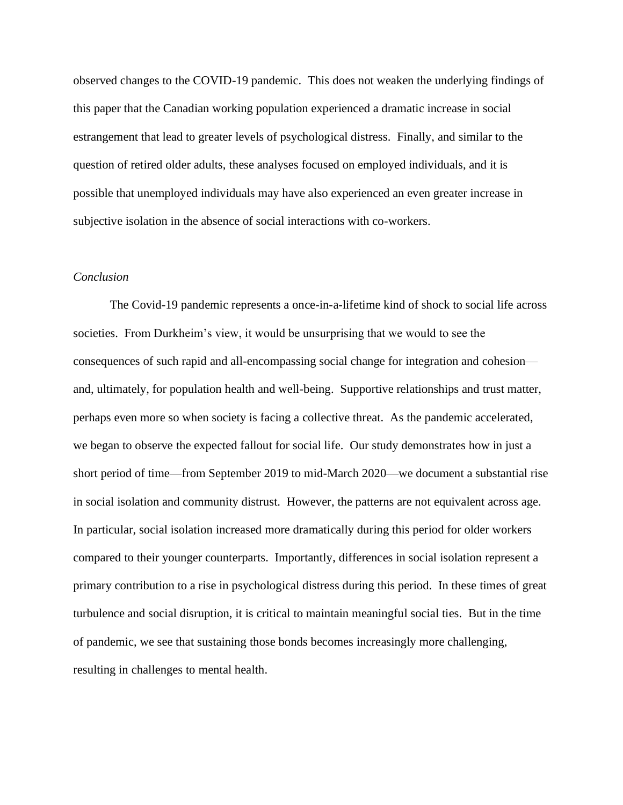observed changes to the COVID-19 pandemic. This does not weaken the underlying findings of this paper that the Canadian working population experienced a dramatic increase in social estrangement that lead to greater levels of psychological distress. Finally, and similar to the question of retired older adults, these analyses focused on employed individuals, and it is possible that unemployed individuals may have also experienced an even greater increase in subjective isolation in the absence of social interactions with co-workers.

# *Conclusion*

The Covid-19 pandemic represents a once-in-a-lifetime kind of shock to social life across societies. From Durkheim's view, it would be unsurprising that we would to see the consequences of such rapid and all-encompassing social change for integration and cohesion and, ultimately, for population health and well-being. Supportive relationships and trust matter, perhaps even more so when society is facing a collective threat. As the pandemic accelerated, we began to observe the expected fallout for social life. Our study demonstrates how in just a short period of time—from September 2019 to mid-March 2020—we document a substantial rise in social isolation and community distrust. However, the patterns are not equivalent across age. In particular, social isolation increased more dramatically during this period for older workers compared to their younger counterparts. Importantly, differences in social isolation represent a primary contribution to a rise in psychological distress during this period. In these times of great turbulence and social disruption, it is critical to maintain meaningful social ties. But in the time of pandemic, we see that sustaining those bonds becomes increasingly more challenging, resulting in challenges to mental health.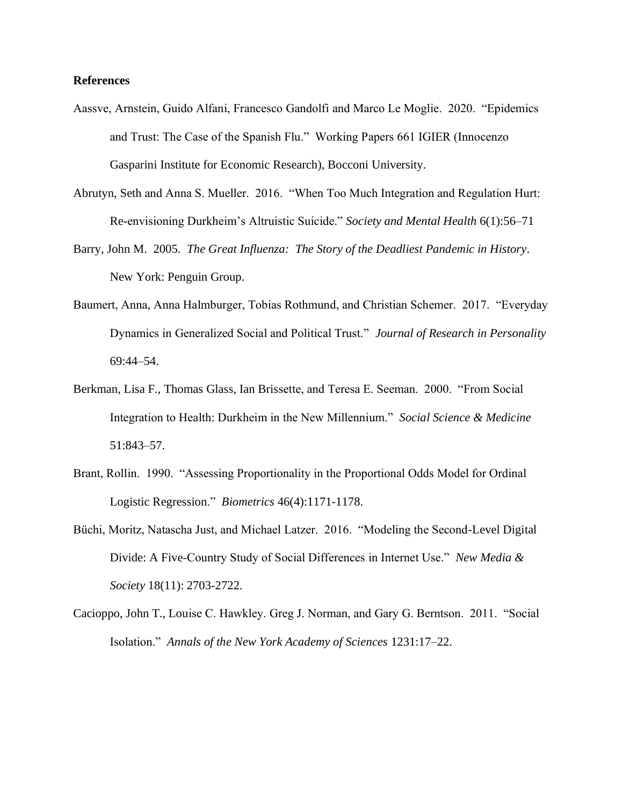# **References**

- Aassve, Arnstein, Guido Alfani, Francesco Gandolfi and Marco Le Moglie. 2020. "Epidemics and Trust: The Case of the Spanish Flu." Working Papers 661 IGIER (Innocenzo Gasparini Institute for Economic Research), Bocconi University.
- Abrutyn, Seth and Anna S. Mueller. 2016. "When Too Much Integration and Regulation Hurt: Re-envisioning Durkheim's Altruistic Suicide." *Society and Mental Health* 6(1):56–71
- Barry, John M. 2005. *The Great Influenza: The Story of the Deadliest Pandemic in History*. New York: Penguin Group.
- Baumert, Anna, Anna Halmburger, Tobias Rothmund, and Christian Schemer. 2017. "Everyday Dynamics in Generalized Social and Political Trust." *Journal of Research in Personality* 69:44–54.
- Berkman, Lisa F., Thomas Glass, Ian Brissette, and Teresa E. Seeman. 2000. "From Social Integration to Health: Durkheim in the New Millennium." *Social Science & Medicine* 51:843–57.
- Brant, Rollin. 1990. "Assessing Proportionality in the Proportional Odds Model for Ordinal Logistic Regression." *Biometrics* 46(4):1171-1178.
- Büchi, Moritz, Natascha Just, and Michael Latzer. 2016. "Modeling the Second-Level Digital Divide: A Five-Country Study of Social Differences in Internet Use." *New Media & Society* 18(11): 2703-2722.
- Cacioppo, John T., Louise C. Hawkley. Greg J. Norman, and Gary G. Berntson. 2011. "Social Isolation." *Annals of the New York Academy of Sciences* 1231:17–22.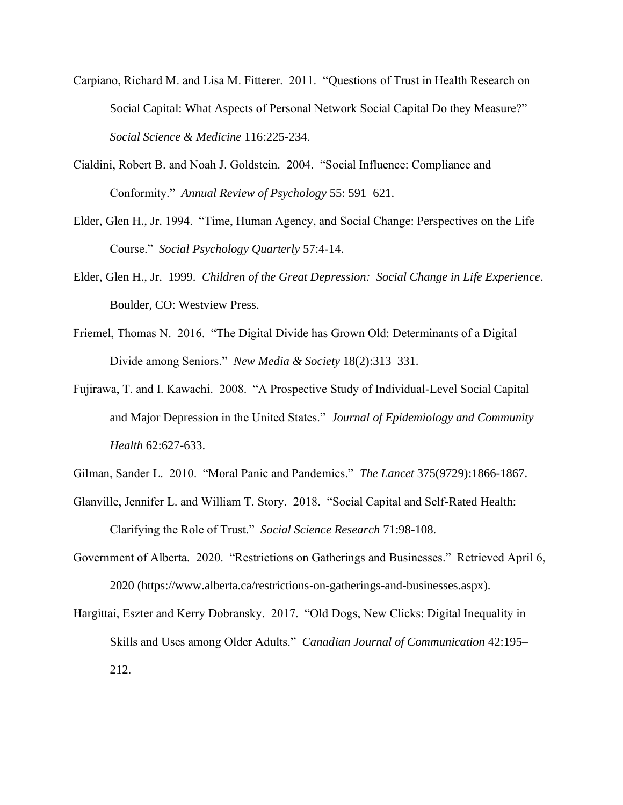- Carpiano, Richard M. and Lisa M. Fitterer. 2011. "Questions of Trust in Health Research on Social Capital: What Aspects of Personal Network Social Capital Do they Measure?" *Social Science & Medicine* 116:225-234.
- Cialdini, Robert B. and Noah J. Goldstein. 2004. "Social Influence: Compliance and Conformity." *Annual Review of Psychology* 55: 591–621.
- Elder, Glen H., Jr. 1994. "Time, Human Agency, and Social Change: Perspectives on the Life Course." *Social Psychology Quarterly* 57:4-14.
- Elder, Glen H., Jr. 1999. *Children of the Great Depression: Social Change in Life Experience*. Boulder, CO: Westview Press.
- Friemel, Thomas N. 2016. "The Digital Divide has Grown Old: Determinants of a Digital Divide among Seniors." *New Media & Society* 18(2):313–331.
- Fujirawa, T. and I. Kawachi. 2008. "A Prospective Study of Individual-Level Social Capital and Major Depression in the United States." *Journal of Epidemiology and Community Health* 62:627-633.

Gilman, Sander L. 2010. "Moral Panic and Pandemics." *The Lancet* 375(9729):1866-1867.

- Glanville, Jennifer L. and William T. Story. 2018. "Social Capital and Self-Rated Health: Clarifying the Role of Trust." *Social Science Research* 71:98-108.
- Government of Alberta. 2020. "Restrictions on Gatherings and Businesses." Retrieved April 6, 2020 (https://www.alberta.ca/restrictions-on-gatherings-and-businesses.aspx).
- Hargittai, Eszter and Kerry Dobransky. 2017. "Old Dogs, New Clicks: Digital Inequality in Skills and Uses among Older Adults." *Canadian Journal of Communication* 42:195– 212.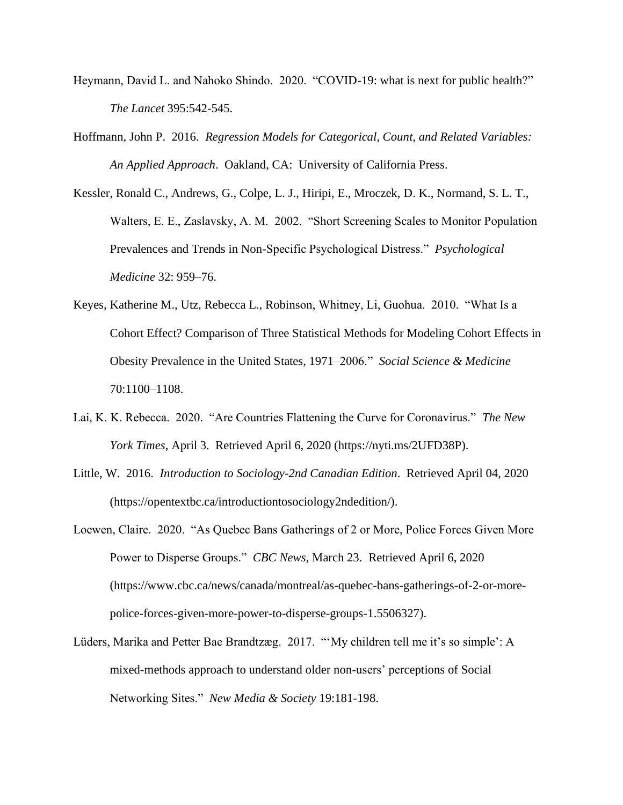- Heymann, David L. and Nahoko Shindo. 2020. "COVID-19: what is next for public health?" *The Lancet* 395:542-545.
- Hoffmann, John P. 2016. *Regression Models for Categorical, Count, and Related Variables: An Applied Approach*. Oakland, CA: University of California Press.
- Kessler, Ronald C., Andrews, G., Colpe, L. J., Hiripi, E., Mroczek, D. K., Normand, S. L. T., Walters, E. E., Zaslavsky, A. M. 2002. "Short Screening Scales to Monitor Population Prevalences and Trends in Non-Specific Psychological Distress." *Psychological Medicine* 32: 959–76.
- Keyes, Katherine M., Utz, Rebecca L., Robinson, Whitney, Li, Guohua. 2010. "What Is a Cohort Effect? Comparison of Three Statistical Methods for Modeling Cohort Effects in Obesity Prevalence in the United States, 1971–2006." *Social Science & Medicine* 70:1100–1108.
- Lai, K. K. Rebecca. 2020. "Are Countries Flattening the Curve for Coronavirus." *The New York Times*, April 3. Retrieved April 6, 2020 (https://nyti.ms/2UFD38P).
- Little, W. 2016. *Introduction to Sociology-2nd Canadian Edition*. Retrieved April 04, 2020 (https://opentextbc.ca/introductiontosociology2ndedition/).
- Loewen, Claire. 2020. "As Quebec Bans Gatherings of 2 or More, Police Forces Given More Power to Disperse Groups." *CBC News*, March 23. Retrieved April 6, 2020 (https://www.cbc.ca/news/canada/montreal/as-quebec-bans-gatherings-of-2-or-morepolice-forces-given-more-power-to-disperse-groups-1.5506327).
- Lüders, Marika and Petter Bae Brandtzæg. 2017. "'My children tell me it's so simple': A mixed-methods approach to understand older non-users' perceptions of Social Networking Sites." *New Media & Society* 19:181-198.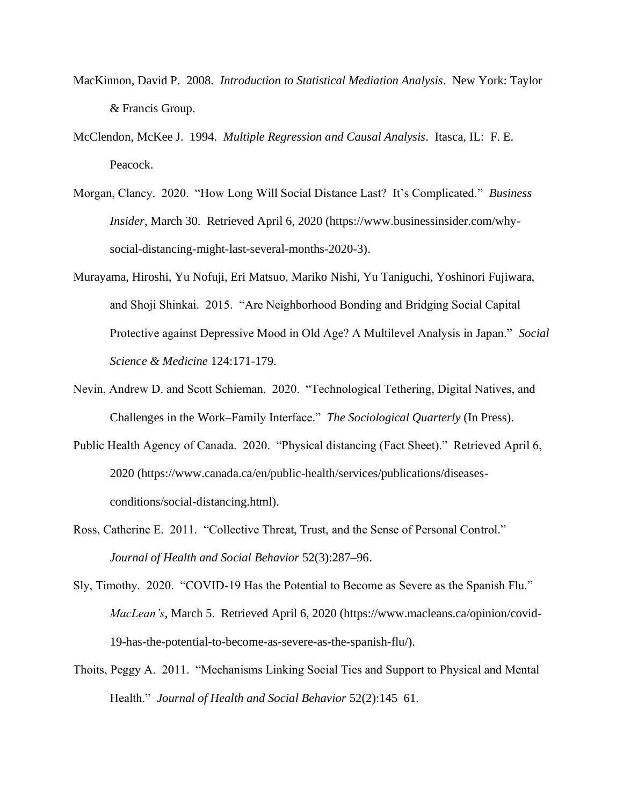- MacKinnon, David P. 2008. *Introduction to Statistical Mediation Analysis*. New York: Taylor & Francis Group.
- McClendon, McKee J. 1994. *Multiple Regression and Causal Analysis*. Itasca, IL: F. E. Peacock.
- Morgan, Clancy. 2020. "How Long Will Social Distance Last? It's Complicated." *Business Insider*, March 30. Retrieved April 6, 2020 (https://www.businessinsider.com/whysocial-distancing-might-last-several-months-2020-3).
- Murayama, Hiroshi, Yu Nofuji, Eri Matsuo, Mariko Nishi, Yu Taniguchi, Yoshinori Fujiwara, and Shoji Shinkai. 2015. "Are Neighborhood Bonding and Bridging Social Capital Protective against Depressive Mood in Old Age? A Multilevel Analysis in Japan." *Social Science & Medicine* 124:171-179.
- Nevin, Andrew D. and Scott Schieman. 2020. "Technological Tethering, Digital Natives, and Challenges in the Work–Family Interface." *The Sociological Quarterly* (In Press).
- Public Health Agency of Canada. 2020. "Physical distancing (Fact Sheet)." Retrieved April 6, 2020 (https://www.canada.ca/en/public-health/services/publications/diseasesconditions/social-distancing.html).
- Ross, Catherine E. 2011. "Collective Threat, Trust, and the Sense of Personal Control." *Journal of Health and Social Behavior* 52(3):287–96.
- Sly, Timothy. 2020. "COVID-19 Has the Potential to Become as Severe as the Spanish Flu." *MacLean's*, March 5. Retrieved April 6, 2020 (https://www.macleans.ca/opinion/covid-19-has-the-potential-to-become-as-severe-as-the-spanish-flu/).
- Thoits, Peggy A. 2011. "Mechanisms Linking Social Ties and Support to Physical and Mental Health." *Journal of Health and Social Behavior* 52(2):145–61.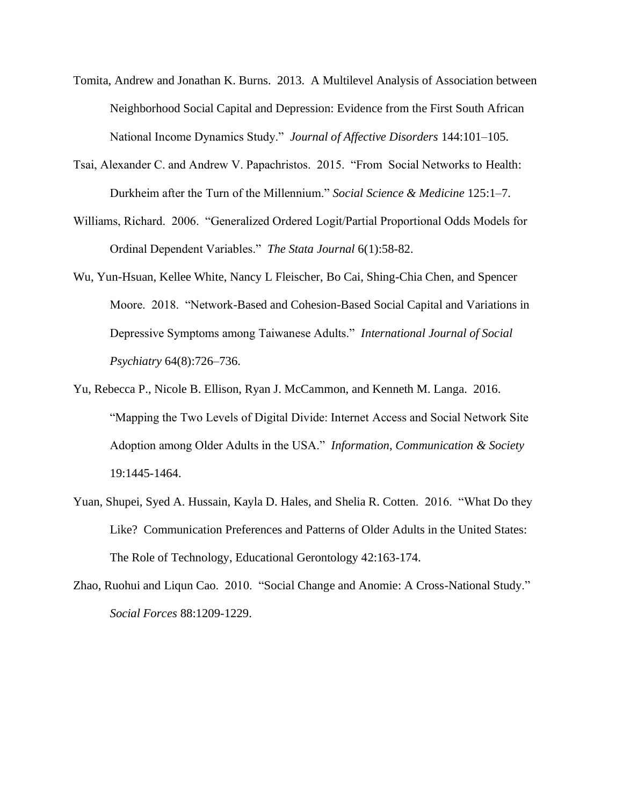- Tomita, Andrew and Jonathan K. Burns. 2013. A Multilevel Analysis of Association between Neighborhood Social Capital and Depression: Evidence from the First South African National Income Dynamics Study." *Journal of Affective Disorders* 144:101–105.
- Tsai, Alexander C. and Andrew V. Papachristos. 2015. "From Social Networks to Health: Durkheim after the Turn of the Millennium." *Social Science & Medicine* 125:1–7.
- Williams, Richard. 2006. "Generalized Ordered Logit/Partial Proportional Odds Models for Ordinal Dependent Variables." *The Stata Journal* 6(1):58-82.
- Wu, Yun-Hsuan, Kellee White, Nancy L Fleischer, Bo Cai, Shing-Chia Chen, and Spencer Moore. 2018. "Network-Based and Cohesion-Based Social Capital and Variations in Depressive Symptoms among Taiwanese Adults." *International Journal of Social Psychiatry* 64(8):726–736.
- Yu, Rebecca P., Nicole B. Ellison, Ryan J. McCammon, and Kenneth M. Langa. 2016. "Mapping the Two Levels of Digital Divide: Internet Access and Social Network Site Adoption among Older Adults in the USA." *Information, Communication & Society* 19:1445-1464.
- Yuan, Shupei, Syed A. Hussain, Kayla D. Hales, and Shelia R. Cotten. 2016. "What Do they Like? Communication Preferences and Patterns of Older Adults in the United States: The Role of Technology, Educational Gerontology 42:163-174.
- Zhao, Ruohui and Liqun Cao. 2010. "Social Change and Anomie: A Cross-National Study." *Social Forces* 88:1209-1229.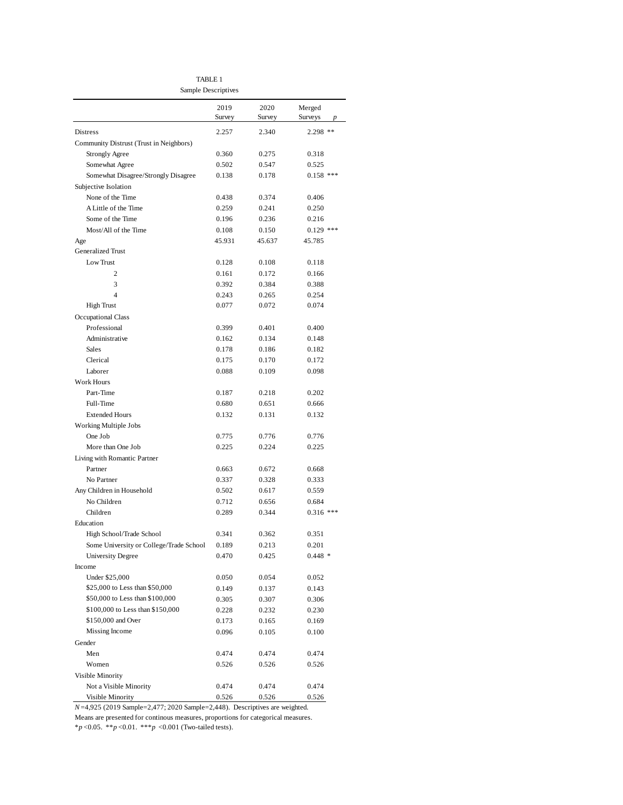TABLE 1 Sample Descriptives

|                                           | 2019<br>Survey | 2020<br>Survey | Merged<br>Surveys<br>p |
|-------------------------------------------|----------------|----------------|------------------------|
| Distress                                  | 2.257          | 2.340          | 2.298 **               |
| Community Distrust (Trust in Neighbors)   |                |                |                        |
| <b>Strongly Agree</b>                     | 0.360          | 0.275          | 0.318                  |
| Somewhat Agree                            | 0.502          | 0.547          | 0.525                  |
| Somewhat Disagree/Strongly Disagree       | 0.138          | 0.178          | $0.158$ ***            |
| Subjective Isolation                      |                |                |                        |
| None of the Time                          | 0.438          | 0.374          | 0.406                  |
| A Little of the Time                      | 0.259          | 0.241          | 0.250                  |
| Some of the Time                          | 0.196          | 0.236          | 0.216                  |
| Most/All of the Time                      | 0.108          | 0.150          | $0.129$ ***            |
| Age                                       | 45.931         | 45.637         | 45.785                 |
| Generalized Trust                         |                |                |                        |
| Low Trust                                 | 0.128          | 0.108          | 0.118                  |
| $\overline{c}$                            | 0.161          | 0.172          | 0.166                  |
| 3                                         |                |                |                        |
| 4                                         | 0.392          | 0.384          | 0.388                  |
|                                           | 0.243<br>0.077 | 0.265<br>0.072 | 0.254<br>0.074         |
| <b>High Trust</b>                         |                |                |                        |
| <b>Occupational Class</b><br>Professional |                |                | 0.400                  |
|                                           | 0.399          | 0.401          |                        |
| Administrative                            | 0.162          | 0.134          | 0.148                  |
| Sales                                     | 0.178          | 0.186          | 0.182                  |
| Clerical                                  | 0.175          | 0.170          | 0.172                  |
| Laborer                                   | 0.088          | 0.109          | 0.098                  |
| Work Hours                                |                |                |                        |
| Part-Time                                 | 0.187          | 0.218          | 0.202                  |
| Full-Time                                 | 0.680          | 0.651          | 0.666                  |
| <b>Extended Hours</b>                     | 0.132          | 0.131          | 0.132                  |
| Working Multiple Jobs                     |                |                |                        |
| One Job                                   | 0.775          | 0.776          | 0.776                  |
| More than One Job                         | 0.225          | 0.224          | 0.225                  |
| Living with Romantic Partner              |                |                |                        |
| Partner                                   | 0.663          | 0.672          | 0.668                  |
| No Partner                                | 0.337          | 0.328          | 0.333                  |
| Any Children in Household                 | 0.502          | 0.617          | 0.559                  |
| No Children                               | 0.712          | 0.656          | 0.684                  |
| Children                                  | 0.289          | 0.344          | $0.316$ ***            |
| Education                                 |                |                |                        |
| High School/Trade School                  | 0.341          | 0.362          | 0.351                  |
| Some University or College/Trade School   | 0.189          | 0.213          | 0.201                  |
| University Degree                         | 0.470          | 0.425          | $0.448*$               |
| Income                                    |                |                |                        |
| Under \$25,000                            | 0.050          | 0.054          | 0.052                  |
| \$25,000 to Less than \$50,000            | 0.149          | 0.137          | 0.143                  |
| \$50,000 to Less than \$100,000           | 0.305          | 0.307          | 0.306                  |
| \$100,000 to Less than \$150,000          | 0.228          | 0.232          | 0.230                  |
| \$150,000 and Over                        | 0.173          | 0.165          | 0.169                  |
| Missing Income                            | 0.096          | 0.105          | 0.100                  |
| Gender                                    |                |                |                        |
| Men                                       | 0.474          | 0.474          | 0.474                  |
| Women                                     | 0.526          | 0.526          | 0.526                  |
| Visible Minority                          |                |                |                        |
| Not a Visible Minority                    | 0.474          | 0.474          | 0.474                  |
| Visible Minority                          | 0.526          | 0.526          | 0.526                  |

*N*=4,925 (2019 Sample=2,477; 2020 Sample=2,448). Descriptives are weighted.

Means are presented for continous measures, proportions for categorical measures.

\**p* <0.05. \*\**p* <0.01. \*\*\**p* <0.001 (Two-tailed tests).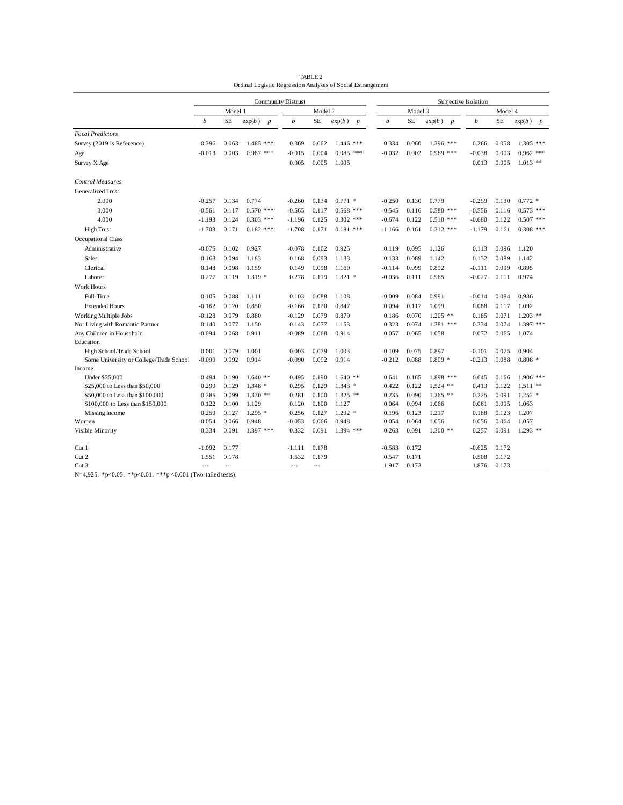|                                                                           | <b>Community Distrust</b> |           |             |          |         |             | Subjective Isolation |          |           |             |                  |          |           |                            |
|---------------------------------------------------------------------------|---------------------------|-----------|-------------|----------|---------|-------------|----------------------|----------|-----------|-------------|------------------|----------|-----------|----------------------------|
|                                                                           | Model 1                   |           |             |          | Model 2 |             |                      |          | Model 3   |             | Model 4          |          |           |                            |
|                                                                           | b                         | <b>SE</b> | exp(b)      | b        | SE      | exp(b)      |                      | b        | <b>SE</b> | exp(b)      | $\boldsymbol{v}$ | b        | <b>SE</b> | exp(b)<br>$\boldsymbol{D}$ |
| <b>Focal Predictors</b>                                                   |                           |           |             |          |         |             |                      |          |           |             |                  |          |           |                            |
| Survey (2019 is Reference)                                                | 0.396                     | 0.063     | $1.485$ *** | 0.369    | 0.062   | $1.446$ *** |                      | 0.334    | 0.060     | $1.396$ *** |                  | 0.266    | 0.058     | $1.305$ ***                |
| Age                                                                       | $-0.013$                  | 0.003     | $0.987$ *** | $-0.015$ | 0.004   | $0.985$ *** |                      | $-0.032$ | 0.002     | $0.969$ *** |                  | $-0.038$ | 0.003     | $0.962$ ***                |
| Survey X Age                                                              |                           |           |             | 0.005    | 0.005   | 1.005       |                      |          |           |             |                  | 0.013    | 0.005     | $1.013$ **                 |
| <b>Control Measures</b>                                                   |                           |           |             |          |         |             |                      |          |           |             |                  |          |           |                            |
| <b>Generalized Trust</b>                                                  |                           |           |             |          |         |             |                      |          |           |             |                  |          |           |                            |
| 2.000                                                                     | $-0.257$                  | 0.134     | 0.774       | $-0.260$ | 0.134   | $0.771*$    |                      | $-0.250$ | 0.130     | 0.779       |                  | $-0.259$ | 0.130     | $0.772$ *                  |
| 3.000                                                                     | $-0.561$                  | 0.117     | $0.570$ *** | $-0.565$ | 0.117   | $0.568$ *** |                      | $-0.545$ | 0.116     | $0.580$ *** |                  | $-0.556$ | 0.116     | $0.573$ ***                |
| 4.000                                                                     | $-1.193$                  | 0.124     | $0.303$ *** | $-1.196$ | 0.125   | $0.302$ *** |                      | $-0.674$ | 0.122     | $0.510$ *** |                  | $-0.680$ | 0.122     | $0.507$ ***                |
| <b>High Trust</b>                                                         | $-1.703$                  | 0.171     | $0.182$ *** | $-1.708$ | 0.171   | $0.181$ *** |                      | $-1.166$ | 0.161     | $0.312$ *** |                  | $-1.179$ | 0.161     | $0.308$ ***                |
| <b>Occupational Class</b>                                                 |                           |           |             |          |         |             |                      |          |           |             |                  |          |           |                            |
| Administrative                                                            | $-0.076$                  | 0.102     | 0.927       | $-0.078$ | 0.102   | 0.925       |                      | 0.119    | 0.095     | 1.126       |                  | 0.113    | 0.096     | 1.120                      |
| <b>Sales</b>                                                              | 0.168                     | 0.094     | 1.183       | 0.168    | 0.093   | 1.183       |                      | 0.133    | 0.089     | 1.142       |                  | 0.132    | 0.089     | 1.142                      |
| Clerical                                                                  | 0.148                     | 0.098     | 1.159       | 0.149    | 0.098   | 1.160       |                      | $-0.114$ | 0.099     | 0.892       |                  | $-0.111$ | 0.099     | 0.895                      |
| Laborer                                                                   | 0.277                     | 0.119     | $1.319*$    | 0.278    | 0.119   | $1.321$ *   |                      | $-0.036$ | 0.111     | 0.965       |                  | $-0.027$ | 0.111     | 0.974                      |
| Work Hours                                                                |                           |           |             |          |         |             |                      |          |           |             |                  |          |           |                            |
| Full-Time                                                                 | 0.105                     | 0.088     | 1.111       | 0.103    | 0.088   | 1.108       |                      | $-0.009$ | 0.084     | 0.991       |                  | $-0.014$ | 0.084     | 0.986                      |
| <b>Extended Hours</b>                                                     | $-0.162$                  | 0.120     | 0.850       | $-0.166$ | 0.120   | 0.847       |                      | 0.094    | 0.117     | 1.099       |                  | 0.088    | 0.117     | 1.092                      |
| Working Multiple Jobs                                                     | $-0.128$                  | 0.079     | 0.880       | $-0.129$ | 0.079   | 0.879       |                      | 0.186    | 0.070     | $1.205$ **  |                  | 0.185    | 0.071     | $1.203$ **                 |
| Not Living with Romantic Partner                                          | 0.140                     | 0.077     | 1.150       | 0.143    | 0.077   | 1.153       |                      | 0.323    | 0.074     | $1.381$ *** |                  | 0.334    | 0.074     | $1.397$ ***                |
| Any Children in Household                                                 | $-0.094$                  | 0.068     | 0.911       | $-0.089$ | 0.068   | 0.914       |                      | 0.057    | 0.065     | 1.058       |                  | 0.072    | 0.065     | 1.074                      |
| Education                                                                 |                           |           |             |          |         |             |                      |          |           |             |                  |          |           |                            |
| High School/Trade School                                                  | 0.001                     | 0.079     | 1.001       | 0.003    | 0.079   | 1.003       |                      | $-0.109$ | 0.075     | 0.897       |                  | $-0.101$ | 0.075     | 0.904                      |
| Some University or College/Trade School                                   | $-0.090$                  | 0.092     | 0.914       | $-0.090$ | 0.092   | 0.914       |                      | $-0.212$ | 0.088     | $0.809*$    |                  | $-0.213$ | 0.088     | $0.808*$                   |
| Income                                                                    |                           |           |             |          |         |             |                      |          |           |             |                  |          |           |                            |
| Under \$25,000                                                            | 0.494                     | 0.190     | $1.640**$   | 0.495    | 0.190   | $1.640**$   |                      | 0.641    | 0.165     | 1.898 ***   |                  | 0.645    | 0.166     | $1.906$ ***                |
| \$25,000 to Less than \$50,000                                            | 0.299                     | 0.129     | $1.348*$    | 0.295    | 0.129   | $1.343*$    |                      | 0.422    | 0.122     | $1.524$ **  |                  | 0.413    | 0.122     | $1.511$ **                 |
| \$50,000 to Less than \$100,000                                           | 0.285                     | 0.099     | $1.330**$   | 0.281    | 0.100   | $1.325$ **  |                      | 0.235    | 0.090     | $1.265$ **  |                  | 0.225    | 0.091     | $1.252$ *                  |
| \$100,000 to Less than \$150,000                                          | 0.122                     | 0.100     | 1.129       | 0.120    | 0.100   | 1.127       |                      | 0.064    | 0.094     | 1.066       |                  | 0.061    | 0.095     | 1.063                      |
| Missing Income                                                            | 0.259                     | 0.127     | $1.295*$    | 0.256    | 0.127   | $1.292$ *   |                      | 0.196    | 0.123     | 1.217       |                  | 0.188    | 0.123     | 1.207                      |
| Women                                                                     | $-0.054$                  | 0.066     | 0.948       | $-0.053$ | 0.066   | 0.948       |                      | 0.054    | 0.064     | 1.056       |                  | 0.056    | 0.064     | 1.057                      |
| Visible Minority                                                          | 0.334                     | 0.091     | $1.397$ *** | 0.332    | 0.091   | $1.394$ *** |                      | 0.263    | 0.091     | $1.300**$   |                  | 0.257    | 0.091     | $1.293$ **                 |
| Cut 1                                                                     | $-1.092$                  | 0.177     |             | $-1.111$ | 0.178   |             |                      | $-0.583$ | 0.172     |             |                  | $-0.625$ | 0.172     |                            |
| Cut 2                                                                     | 1.551                     | 0.178     |             | 1.532    | 0.179   |             |                      | 0.547    | 0.171     |             |                  | 0.508    | 0.172     |                            |
| Cut <sub>3</sub><br>$M = 1.025 + 0.005 + 0.01$<br>$+ + + -$<br>$-0.001/T$ | $- - -$<br>$\mathbf{I}$   | $- - -$   |             | $---$    | $- - -$ |             |                      | 1.917    | 0.173     |             |                  | 1.876    | 0.173     |                            |

TABLE 2 Ordinal Logistic Regression Analyses of Social Estrangement

N=4,925. \*p<0.05. \*\*p<0.01. \*\*\*p <0.001 (Two-tailed tests).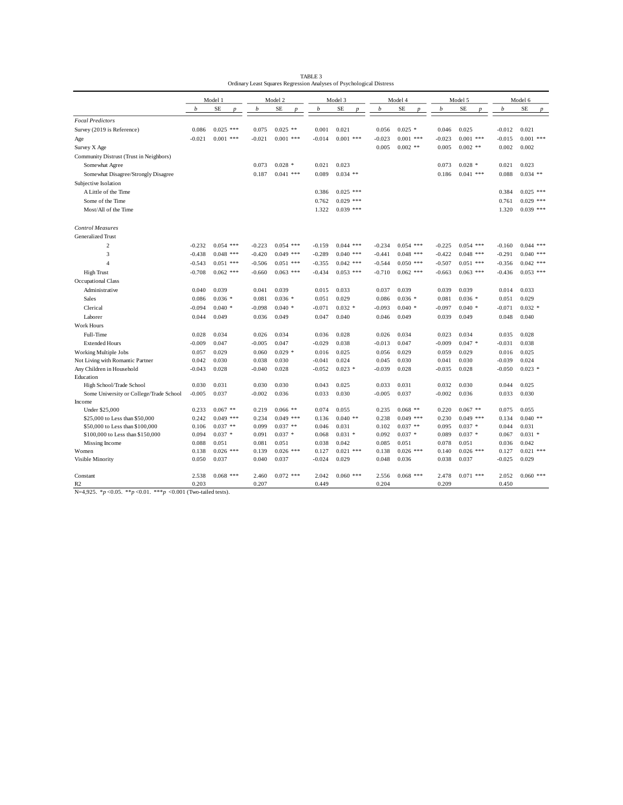| TABLE 3                                                              |
|----------------------------------------------------------------------|
| Ordinary Least Squares Regression Analyses of Psychological Distress |

| Model 3<br>Model 4<br>Model 6<br>Model 1<br>Model 2<br>Model 5<br>b<br><b>SE</b><br>b<br><b>SE</b><br><b>SE</b><br>b<br><b>SE</b><br>b<br><b>SE</b><br>b<br><b>SE</b><br>b<br>$\boldsymbol{D}$<br>$\boldsymbol{p}$<br>$\boldsymbol{D}$<br>$\boldsymbol{D}$<br>$\boldsymbol{D}$<br>$\boldsymbol{D}$<br><b>Focal Predictors</b><br>$0.025$ ***<br>$0.025$ **<br>0.021<br>$0.025$ *<br>0.025<br>0.021<br>Survey (2019 is Reference)<br>0.086<br>0.075<br>0.001<br>0.056<br>0.046<br>$-0.012$<br>$0.001$ ***<br>$0.001$ ***<br>$0.001$ ***<br>$-0.023$<br>$0.001$ ***<br>$-0.023$<br>$0.001$ ***<br>$-0.015$<br>$0.001$ ***<br>$-0.021$<br>$-0.021$<br>$-0.014$<br>Age<br>$0.002$ **<br>$0.002$ **<br>0.002<br>0.005<br>0.005<br>0.002<br>Survey X Age<br>Community Distrust (Trust in Neighbors)<br>$0.028$ *<br>0.023<br>$0.028$ *<br>0.021<br>0.023<br>0.073<br>0.021<br>0.073<br>Somewhat Agree<br>0.187<br>$0.041$ ***<br>0.089<br>$0.034$ **<br>0.186<br>$0.041$ ***<br>0.088<br>$0.034$ **<br>Somewhat Disagree/Strongly Disagree<br>Subjective Isolation<br>$0.025$ ***<br>$0.025$ ***<br>0.386<br>0.384<br>A Little of the Time<br>$0.029$ ***<br>$0.029$ ***<br>0.761<br>Some of the Time<br>0.762<br>$0.039$ ***<br>$0.039$ ***<br>1.322<br>1.320<br>Most/All of the Time<br><b>Control Measures</b><br>Generalized Trust<br>$\overline{c}$<br>$0.054$ ***<br>$-0.223$<br>$0.054$ ***<br>$0.044$ ***<br>$0.054$ ***<br>$-0.225$<br>$0.054$ ***<br>$0.044$ ***<br>$-0.232$<br>$-0.159$<br>$-0.234$<br>$-0.160$<br>3<br>$0.048$ ***<br>$0.049$ ***<br>$0.040$ ***<br>$-0.422$<br>$0.048$ ***<br>$0.040$ ***<br>$-0.438$<br>$-0.420$<br>$-0.289$<br>$-0.441$<br>$0.048$ ***<br>$-0.291$<br>$0.051$ ***<br>$0.051$ ***<br>$0.042$ ***<br>$0.050$ ***<br>$-0.507$<br>$0.051$ ***<br>$0.042$ ***<br>$\overline{A}$<br>$-0.543$<br>$-0.506$<br>$-0.355$<br>$-0.544$<br>$-0.356$<br>$-0.708$<br>$0.062$ ***<br>$0.063$ ***<br>$-0.434$<br>$0.053$ ***<br>$-0.710$<br>$0.062$ ***<br>$0.063$ ***<br>$0.053$ ***<br><b>High Trust</b><br>$-0.660$<br>$-0.663$<br>$-0.436$<br>Occupational Class<br>0.033<br>0.039<br>0.040<br>0.039<br>0.041<br>0.039<br>0.015<br>0.037<br>0.039<br>0.039<br>0.014<br>0.033<br>Administrative<br>$0.036*$<br>$0.036*$<br>0.029<br>$0.036*$<br>$0.036*$<br>0.029<br>Sales<br>0.086<br>0.081<br>0.051<br>0.086<br>0.081<br>0.051<br>$0.040*$<br>$-0.098$<br>$0.040*$<br>$-0.071$<br>$0.032*$<br>$-0.093$<br>$0.040*$<br>$-0.097$<br>$0.040*$<br>$-0.071$<br>$0.032*$<br>$-0.094$<br>Clerical<br>0.044<br>0.049<br>0.036<br>0.049<br>0.047<br>0.040<br>0.046<br>0.049<br>0.039<br>0.049<br>0.048<br>0.040<br>Laborer<br>Work Hours<br>Full-Time<br>0.028<br>0.034<br>0.026<br>0.034<br>0.036<br>0.028<br>0.026<br>0.034<br>0.023<br>0.034<br>0.035<br>0.028<br>$-0.009$<br>0.047<br>$-0.005$<br>0.047<br>$-0.029$<br>0.038<br>$-0.013$<br>0.047<br>$-0.009$<br>$0.047*$<br>$-0.031$<br>0.038<br><b>Extended Hours</b><br>0.029<br>$0.029$ *<br>0.025<br>0.029<br>0.025<br>0.057<br>0.060<br>0.016<br>0.056<br>0.029<br>0.059<br>0.016<br>Working Multiple Jobs<br>0.030<br>0.030<br>$-0.041$<br>0.024<br>0.030<br>0.030<br>$-0.039$<br>0.024<br>Not Living with Romantic Partner<br>0.042<br>0.038<br>0.045<br>0.041<br>0.028<br>0.028<br>$-0.052$<br>$0.023$ *<br>$-0.039$<br>0.028<br>0.028<br>$-0.050$<br>$0.023$ *<br>Any Children in Household<br>$-0.043$<br>$-0.040$<br>$-0.035$<br>Education<br>0.030<br>0.031<br>0.030<br>0.030<br>0.043<br>0.025<br>0.033<br>0.031<br>0.032<br>0.030<br>0.044<br>0.025<br>High School/Trade School<br>0.037<br>0.036<br>0.037<br>0.036<br>0.033<br>0.030<br>Some University or College/Trade School<br>$-0.005$<br>$-0.002$<br>0.033<br>0.030<br>$-0.005$<br>$-0.002$<br>Income<br>Under \$25,000<br>0.233<br>$0.067$ **<br>0.219<br>$0.066**$<br>0.074<br>0.055<br>0.235<br>$0.068$ **<br>0.220<br>$0.067$ **<br>0.075<br>0.055<br>$0.049$ ***<br>0.242<br>$0.049$ ***<br>0.234<br>$0.049$ ***<br>0.136<br>$0.040**$<br>0.238<br>$0.049$ ***<br>0.230<br>0.134<br>$0.040**$<br>\$25,000 to Less than \$50,000<br>$0.037**$<br>$0.037**$<br>0.031<br>$0.037**$<br>$0.037*$<br>0.031<br>\$50,000 to Less than \$100,000<br>0.106<br>0.099<br>0.046<br>0.102<br>0.095<br>0.044<br>$0.037 *$<br>$0.037*$<br>$0.031*$<br>$0.037*$<br>$0.037*$<br>$0.031*$<br>\$100,000 to Less than \$150,000<br>0.094<br>0.091<br>0.068<br>0.092<br>0.089<br>0.067<br>0.088<br>0.051<br>0.081<br>0.051<br>0.038<br>0.042<br>0.085<br>0.051<br>0.078<br>0.051<br>0.036<br>0.042<br>Missing Income<br>$0.021$ ***<br>0.138<br>$0.026$ ***<br>$0.026$ ***<br>0.127<br>$0.021$ ***<br>0.138<br>$0.026$ ***<br>$0.026$ ***<br>0.127<br>Women<br>0.139<br>0.140<br>0.050<br>0.037<br>0.037<br>$-0.024$<br>0.029<br>0.048<br>0.036<br>0.037<br>$-0.025$<br>0.029<br>Visible Minority<br>0.040<br>0.038<br>$0.060$ ***<br>Constant<br>2.538<br>$0.068$ ***<br>2.460<br>$0.072$ ***<br>2.042<br>$0.060$ ***<br>2.556<br>$0.068$ ***<br>2.478<br>$0.071$ ***<br>2.052 | Ordinary Least Squares Regression Analyses of Psychological Distress |       |  |       |  |       |  |       |  |       |  |       |  |
|--------------------------------------------------------------------------------------------------------------------------------------------------------------------------------------------------------------------------------------------------------------------------------------------------------------------------------------------------------------------------------------------------------------------------------------------------------------------------------------------------------------------------------------------------------------------------------------------------------------------------------------------------------------------------------------------------------------------------------------------------------------------------------------------------------------------------------------------------------------------------------------------------------------------------------------------------------------------------------------------------------------------------------------------------------------------------------------------------------------------------------------------------------------------------------------------------------------------------------------------------------------------------------------------------------------------------------------------------------------------------------------------------------------------------------------------------------------------------------------------------------------------------------------------------------------------------------------------------------------------------------------------------------------------------------------------------------------------------------------------------------------------------------------------------------------------------------------------------------------------------------------------------------------------------------------------------------------------------------------------------------------------------------------------------------------------------------------------------------------------------------------------------------------------------------------------------------------------------------------------------------------------------------------------------------------------------------------------------------------------------------------------------------------------------------------------------------------------------------------------------------------------------------------------------------------------------------------------------------------------------------------------------------------------------------------------------------------------------------------------------------------------------------------------------------------------------------------------------------------------------------------------------------------------------------------------------------------------------------------------------------------------------------------------------------------------------------------------------------------------------------------------------------------------------------------------------------------------------------------------------------------------------------------------------------------------------------------------------------------------------------------------------------------------------------------------------------------------------------------------------------------------------------------------------------------------------------------------------------------------------------------------------------------------------------------------------------------------------------------------------------------------------------------------------------------------------------------------------------------------------------------------------------------------------------------------------------------------------------------------------------------------------------------------------------------------------------------------------------------------------------------------------------------------------------------------------------------------------------------------------------------------------------------------------------------------------------------------------------------------------------------------------------------------------------------------------------------------------------------------------------------------------------------------------------------------------------------------------------------------------------------------------------------------------------------------------------------------------------------------------------------------------------------------------------------------------------------------------------------------------------------------------------------------------------------------------------------------------------------------------------------|----------------------------------------------------------------------|-------|--|-------|--|-------|--|-------|--|-------|--|-------|--|
|                                                                                                                                                                                                                                                                                                                                                                                                                                                                                                                                                                                                                                                                                                                                                                                                                                                                                                                                                                                                                                                                                                                                                                                                                                                                                                                                                                                                                                                                                                                                                                                                                                                                                                                                                                                                                                                                                                                                                                                                                                                                                                                                                                                                                                                                                                                                                                                                                                                                                                                                                                                                                                                                                                                                                                                                                                                                                                                                                                                                                                                                                                                                                                                                                                                                                                                                                                                                                                                                                                                                                                                                                                                                                                                                                                                                                                                                                                                                                                                                                                                                                                                                                                                                                                                                                                                                                                                                                                                                                                                                                                                                                                                                                                                                                                                                                                                                                                                                                                                                              |                                                                      |       |  |       |  |       |  |       |  |       |  |       |  |
|                                                                                                                                                                                                                                                                                                                                                                                                                                                                                                                                                                                                                                                                                                                                                                                                                                                                                                                                                                                                                                                                                                                                                                                                                                                                                                                                                                                                                                                                                                                                                                                                                                                                                                                                                                                                                                                                                                                                                                                                                                                                                                                                                                                                                                                                                                                                                                                                                                                                                                                                                                                                                                                                                                                                                                                                                                                                                                                                                                                                                                                                                                                                                                                                                                                                                                                                                                                                                                                                                                                                                                                                                                                                                                                                                                                                                                                                                                                                                                                                                                                                                                                                                                                                                                                                                                                                                                                                                                                                                                                                                                                                                                                                                                                                                                                                                                                                                                                                                                                                              |                                                                      |       |  |       |  |       |  |       |  |       |  |       |  |
|                                                                                                                                                                                                                                                                                                                                                                                                                                                                                                                                                                                                                                                                                                                                                                                                                                                                                                                                                                                                                                                                                                                                                                                                                                                                                                                                                                                                                                                                                                                                                                                                                                                                                                                                                                                                                                                                                                                                                                                                                                                                                                                                                                                                                                                                                                                                                                                                                                                                                                                                                                                                                                                                                                                                                                                                                                                                                                                                                                                                                                                                                                                                                                                                                                                                                                                                                                                                                                                                                                                                                                                                                                                                                                                                                                                                                                                                                                                                                                                                                                                                                                                                                                                                                                                                                                                                                                                                                                                                                                                                                                                                                                                                                                                                                                                                                                                                                                                                                                                                              |                                                                      |       |  |       |  |       |  |       |  |       |  |       |  |
|                                                                                                                                                                                                                                                                                                                                                                                                                                                                                                                                                                                                                                                                                                                                                                                                                                                                                                                                                                                                                                                                                                                                                                                                                                                                                                                                                                                                                                                                                                                                                                                                                                                                                                                                                                                                                                                                                                                                                                                                                                                                                                                                                                                                                                                                                                                                                                                                                                                                                                                                                                                                                                                                                                                                                                                                                                                                                                                                                                                                                                                                                                                                                                                                                                                                                                                                                                                                                                                                                                                                                                                                                                                                                                                                                                                                                                                                                                                                                                                                                                                                                                                                                                                                                                                                                                                                                                                                                                                                                                                                                                                                                                                                                                                                                                                                                                                                                                                                                                                                              |                                                                      |       |  |       |  |       |  |       |  |       |  |       |  |
|                                                                                                                                                                                                                                                                                                                                                                                                                                                                                                                                                                                                                                                                                                                                                                                                                                                                                                                                                                                                                                                                                                                                                                                                                                                                                                                                                                                                                                                                                                                                                                                                                                                                                                                                                                                                                                                                                                                                                                                                                                                                                                                                                                                                                                                                                                                                                                                                                                                                                                                                                                                                                                                                                                                                                                                                                                                                                                                                                                                                                                                                                                                                                                                                                                                                                                                                                                                                                                                                                                                                                                                                                                                                                                                                                                                                                                                                                                                                                                                                                                                                                                                                                                                                                                                                                                                                                                                                                                                                                                                                                                                                                                                                                                                                                                                                                                                                                                                                                                                                              |                                                                      |       |  |       |  |       |  |       |  |       |  |       |  |
|                                                                                                                                                                                                                                                                                                                                                                                                                                                                                                                                                                                                                                                                                                                                                                                                                                                                                                                                                                                                                                                                                                                                                                                                                                                                                                                                                                                                                                                                                                                                                                                                                                                                                                                                                                                                                                                                                                                                                                                                                                                                                                                                                                                                                                                                                                                                                                                                                                                                                                                                                                                                                                                                                                                                                                                                                                                                                                                                                                                                                                                                                                                                                                                                                                                                                                                                                                                                                                                                                                                                                                                                                                                                                                                                                                                                                                                                                                                                                                                                                                                                                                                                                                                                                                                                                                                                                                                                                                                                                                                                                                                                                                                                                                                                                                                                                                                                                                                                                                                                              |                                                                      |       |  |       |  |       |  |       |  |       |  |       |  |
|                                                                                                                                                                                                                                                                                                                                                                                                                                                                                                                                                                                                                                                                                                                                                                                                                                                                                                                                                                                                                                                                                                                                                                                                                                                                                                                                                                                                                                                                                                                                                                                                                                                                                                                                                                                                                                                                                                                                                                                                                                                                                                                                                                                                                                                                                                                                                                                                                                                                                                                                                                                                                                                                                                                                                                                                                                                                                                                                                                                                                                                                                                                                                                                                                                                                                                                                                                                                                                                                                                                                                                                                                                                                                                                                                                                                                                                                                                                                                                                                                                                                                                                                                                                                                                                                                                                                                                                                                                                                                                                                                                                                                                                                                                                                                                                                                                                                                                                                                                                                              |                                                                      |       |  |       |  |       |  |       |  |       |  |       |  |
|                                                                                                                                                                                                                                                                                                                                                                                                                                                                                                                                                                                                                                                                                                                                                                                                                                                                                                                                                                                                                                                                                                                                                                                                                                                                                                                                                                                                                                                                                                                                                                                                                                                                                                                                                                                                                                                                                                                                                                                                                                                                                                                                                                                                                                                                                                                                                                                                                                                                                                                                                                                                                                                                                                                                                                                                                                                                                                                                                                                                                                                                                                                                                                                                                                                                                                                                                                                                                                                                                                                                                                                                                                                                                                                                                                                                                                                                                                                                                                                                                                                                                                                                                                                                                                                                                                                                                                                                                                                                                                                                                                                                                                                                                                                                                                                                                                                                                                                                                                                                              |                                                                      |       |  |       |  |       |  |       |  |       |  |       |  |
|                                                                                                                                                                                                                                                                                                                                                                                                                                                                                                                                                                                                                                                                                                                                                                                                                                                                                                                                                                                                                                                                                                                                                                                                                                                                                                                                                                                                                                                                                                                                                                                                                                                                                                                                                                                                                                                                                                                                                                                                                                                                                                                                                                                                                                                                                                                                                                                                                                                                                                                                                                                                                                                                                                                                                                                                                                                                                                                                                                                                                                                                                                                                                                                                                                                                                                                                                                                                                                                                                                                                                                                                                                                                                                                                                                                                                                                                                                                                                                                                                                                                                                                                                                                                                                                                                                                                                                                                                                                                                                                                                                                                                                                                                                                                                                                                                                                                                                                                                                                                              |                                                                      |       |  |       |  |       |  |       |  |       |  |       |  |
|                                                                                                                                                                                                                                                                                                                                                                                                                                                                                                                                                                                                                                                                                                                                                                                                                                                                                                                                                                                                                                                                                                                                                                                                                                                                                                                                                                                                                                                                                                                                                                                                                                                                                                                                                                                                                                                                                                                                                                                                                                                                                                                                                                                                                                                                                                                                                                                                                                                                                                                                                                                                                                                                                                                                                                                                                                                                                                                                                                                                                                                                                                                                                                                                                                                                                                                                                                                                                                                                                                                                                                                                                                                                                                                                                                                                                                                                                                                                                                                                                                                                                                                                                                                                                                                                                                                                                                                                                                                                                                                                                                                                                                                                                                                                                                                                                                                                                                                                                                                                              |                                                                      |       |  |       |  |       |  |       |  |       |  |       |  |
|                                                                                                                                                                                                                                                                                                                                                                                                                                                                                                                                                                                                                                                                                                                                                                                                                                                                                                                                                                                                                                                                                                                                                                                                                                                                                                                                                                                                                                                                                                                                                                                                                                                                                                                                                                                                                                                                                                                                                                                                                                                                                                                                                                                                                                                                                                                                                                                                                                                                                                                                                                                                                                                                                                                                                                                                                                                                                                                                                                                                                                                                                                                                                                                                                                                                                                                                                                                                                                                                                                                                                                                                                                                                                                                                                                                                                                                                                                                                                                                                                                                                                                                                                                                                                                                                                                                                                                                                                                                                                                                                                                                                                                                                                                                                                                                                                                                                                                                                                                                                              |                                                                      |       |  |       |  |       |  |       |  |       |  |       |  |
|                                                                                                                                                                                                                                                                                                                                                                                                                                                                                                                                                                                                                                                                                                                                                                                                                                                                                                                                                                                                                                                                                                                                                                                                                                                                                                                                                                                                                                                                                                                                                                                                                                                                                                                                                                                                                                                                                                                                                                                                                                                                                                                                                                                                                                                                                                                                                                                                                                                                                                                                                                                                                                                                                                                                                                                                                                                                                                                                                                                                                                                                                                                                                                                                                                                                                                                                                                                                                                                                                                                                                                                                                                                                                                                                                                                                                                                                                                                                                                                                                                                                                                                                                                                                                                                                                                                                                                                                                                                                                                                                                                                                                                                                                                                                                                                                                                                                                                                                                                                                              |                                                                      |       |  |       |  |       |  |       |  |       |  |       |  |
|                                                                                                                                                                                                                                                                                                                                                                                                                                                                                                                                                                                                                                                                                                                                                                                                                                                                                                                                                                                                                                                                                                                                                                                                                                                                                                                                                                                                                                                                                                                                                                                                                                                                                                                                                                                                                                                                                                                                                                                                                                                                                                                                                                                                                                                                                                                                                                                                                                                                                                                                                                                                                                                                                                                                                                                                                                                                                                                                                                                                                                                                                                                                                                                                                                                                                                                                                                                                                                                                                                                                                                                                                                                                                                                                                                                                                                                                                                                                                                                                                                                                                                                                                                                                                                                                                                                                                                                                                                                                                                                                                                                                                                                                                                                                                                                                                                                                                                                                                                                                              |                                                                      |       |  |       |  |       |  |       |  |       |  |       |  |
|                                                                                                                                                                                                                                                                                                                                                                                                                                                                                                                                                                                                                                                                                                                                                                                                                                                                                                                                                                                                                                                                                                                                                                                                                                                                                                                                                                                                                                                                                                                                                                                                                                                                                                                                                                                                                                                                                                                                                                                                                                                                                                                                                                                                                                                                                                                                                                                                                                                                                                                                                                                                                                                                                                                                                                                                                                                                                                                                                                                                                                                                                                                                                                                                                                                                                                                                                                                                                                                                                                                                                                                                                                                                                                                                                                                                                                                                                                                                                                                                                                                                                                                                                                                                                                                                                                                                                                                                                                                                                                                                                                                                                                                                                                                                                                                                                                                                                                                                                                                                              |                                                                      |       |  |       |  |       |  |       |  |       |  |       |  |
|                                                                                                                                                                                                                                                                                                                                                                                                                                                                                                                                                                                                                                                                                                                                                                                                                                                                                                                                                                                                                                                                                                                                                                                                                                                                                                                                                                                                                                                                                                                                                                                                                                                                                                                                                                                                                                                                                                                                                                                                                                                                                                                                                                                                                                                                                                                                                                                                                                                                                                                                                                                                                                                                                                                                                                                                                                                                                                                                                                                                                                                                                                                                                                                                                                                                                                                                                                                                                                                                                                                                                                                                                                                                                                                                                                                                                                                                                                                                                                                                                                                                                                                                                                                                                                                                                                                                                                                                                                                                                                                                                                                                                                                                                                                                                                                                                                                                                                                                                                                                              |                                                                      |       |  |       |  |       |  |       |  |       |  |       |  |
|                                                                                                                                                                                                                                                                                                                                                                                                                                                                                                                                                                                                                                                                                                                                                                                                                                                                                                                                                                                                                                                                                                                                                                                                                                                                                                                                                                                                                                                                                                                                                                                                                                                                                                                                                                                                                                                                                                                                                                                                                                                                                                                                                                                                                                                                                                                                                                                                                                                                                                                                                                                                                                                                                                                                                                                                                                                                                                                                                                                                                                                                                                                                                                                                                                                                                                                                                                                                                                                                                                                                                                                                                                                                                                                                                                                                                                                                                                                                                                                                                                                                                                                                                                                                                                                                                                                                                                                                                                                                                                                                                                                                                                                                                                                                                                                                                                                                                                                                                                                                              |                                                                      |       |  |       |  |       |  |       |  |       |  |       |  |
|                                                                                                                                                                                                                                                                                                                                                                                                                                                                                                                                                                                                                                                                                                                                                                                                                                                                                                                                                                                                                                                                                                                                                                                                                                                                                                                                                                                                                                                                                                                                                                                                                                                                                                                                                                                                                                                                                                                                                                                                                                                                                                                                                                                                                                                                                                                                                                                                                                                                                                                                                                                                                                                                                                                                                                                                                                                                                                                                                                                                                                                                                                                                                                                                                                                                                                                                                                                                                                                                                                                                                                                                                                                                                                                                                                                                                                                                                                                                                                                                                                                                                                                                                                                                                                                                                                                                                                                                                                                                                                                                                                                                                                                                                                                                                                                                                                                                                                                                                                                                              |                                                                      |       |  |       |  |       |  |       |  |       |  |       |  |
|                                                                                                                                                                                                                                                                                                                                                                                                                                                                                                                                                                                                                                                                                                                                                                                                                                                                                                                                                                                                                                                                                                                                                                                                                                                                                                                                                                                                                                                                                                                                                                                                                                                                                                                                                                                                                                                                                                                                                                                                                                                                                                                                                                                                                                                                                                                                                                                                                                                                                                                                                                                                                                                                                                                                                                                                                                                                                                                                                                                                                                                                                                                                                                                                                                                                                                                                                                                                                                                                                                                                                                                                                                                                                                                                                                                                                                                                                                                                                                                                                                                                                                                                                                                                                                                                                                                                                                                                                                                                                                                                                                                                                                                                                                                                                                                                                                                                                                                                                                                                              |                                                                      |       |  |       |  |       |  |       |  |       |  |       |  |
|                                                                                                                                                                                                                                                                                                                                                                                                                                                                                                                                                                                                                                                                                                                                                                                                                                                                                                                                                                                                                                                                                                                                                                                                                                                                                                                                                                                                                                                                                                                                                                                                                                                                                                                                                                                                                                                                                                                                                                                                                                                                                                                                                                                                                                                                                                                                                                                                                                                                                                                                                                                                                                                                                                                                                                                                                                                                                                                                                                                                                                                                                                                                                                                                                                                                                                                                                                                                                                                                                                                                                                                                                                                                                                                                                                                                                                                                                                                                                                                                                                                                                                                                                                                                                                                                                                                                                                                                                                                                                                                                                                                                                                                                                                                                                                                                                                                                                                                                                                                                              |                                                                      |       |  |       |  |       |  |       |  |       |  |       |  |
|                                                                                                                                                                                                                                                                                                                                                                                                                                                                                                                                                                                                                                                                                                                                                                                                                                                                                                                                                                                                                                                                                                                                                                                                                                                                                                                                                                                                                                                                                                                                                                                                                                                                                                                                                                                                                                                                                                                                                                                                                                                                                                                                                                                                                                                                                                                                                                                                                                                                                                                                                                                                                                                                                                                                                                                                                                                                                                                                                                                                                                                                                                                                                                                                                                                                                                                                                                                                                                                                                                                                                                                                                                                                                                                                                                                                                                                                                                                                                                                                                                                                                                                                                                                                                                                                                                                                                                                                                                                                                                                                                                                                                                                                                                                                                                                                                                                                                                                                                                                                              |                                                                      |       |  |       |  |       |  |       |  |       |  |       |  |
|                                                                                                                                                                                                                                                                                                                                                                                                                                                                                                                                                                                                                                                                                                                                                                                                                                                                                                                                                                                                                                                                                                                                                                                                                                                                                                                                                                                                                                                                                                                                                                                                                                                                                                                                                                                                                                                                                                                                                                                                                                                                                                                                                                                                                                                                                                                                                                                                                                                                                                                                                                                                                                                                                                                                                                                                                                                                                                                                                                                                                                                                                                                                                                                                                                                                                                                                                                                                                                                                                                                                                                                                                                                                                                                                                                                                                                                                                                                                                                                                                                                                                                                                                                                                                                                                                                                                                                                                                                                                                                                                                                                                                                                                                                                                                                                                                                                                                                                                                                                                              |                                                                      |       |  |       |  |       |  |       |  |       |  |       |  |
|                                                                                                                                                                                                                                                                                                                                                                                                                                                                                                                                                                                                                                                                                                                                                                                                                                                                                                                                                                                                                                                                                                                                                                                                                                                                                                                                                                                                                                                                                                                                                                                                                                                                                                                                                                                                                                                                                                                                                                                                                                                                                                                                                                                                                                                                                                                                                                                                                                                                                                                                                                                                                                                                                                                                                                                                                                                                                                                                                                                                                                                                                                                                                                                                                                                                                                                                                                                                                                                                                                                                                                                                                                                                                                                                                                                                                                                                                                                                                                                                                                                                                                                                                                                                                                                                                                                                                                                                                                                                                                                                                                                                                                                                                                                                                                                                                                                                                                                                                                                                              |                                                                      |       |  |       |  |       |  |       |  |       |  |       |  |
|                                                                                                                                                                                                                                                                                                                                                                                                                                                                                                                                                                                                                                                                                                                                                                                                                                                                                                                                                                                                                                                                                                                                                                                                                                                                                                                                                                                                                                                                                                                                                                                                                                                                                                                                                                                                                                                                                                                                                                                                                                                                                                                                                                                                                                                                                                                                                                                                                                                                                                                                                                                                                                                                                                                                                                                                                                                                                                                                                                                                                                                                                                                                                                                                                                                                                                                                                                                                                                                                                                                                                                                                                                                                                                                                                                                                                                                                                                                                                                                                                                                                                                                                                                                                                                                                                                                                                                                                                                                                                                                                                                                                                                                                                                                                                                                                                                                                                                                                                                                                              |                                                                      |       |  |       |  |       |  |       |  |       |  |       |  |
|                                                                                                                                                                                                                                                                                                                                                                                                                                                                                                                                                                                                                                                                                                                                                                                                                                                                                                                                                                                                                                                                                                                                                                                                                                                                                                                                                                                                                                                                                                                                                                                                                                                                                                                                                                                                                                                                                                                                                                                                                                                                                                                                                                                                                                                                                                                                                                                                                                                                                                                                                                                                                                                                                                                                                                                                                                                                                                                                                                                                                                                                                                                                                                                                                                                                                                                                                                                                                                                                                                                                                                                                                                                                                                                                                                                                                                                                                                                                                                                                                                                                                                                                                                                                                                                                                                                                                                                                                                                                                                                                                                                                                                                                                                                                                                                                                                                                                                                                                                                                              |                                                                      |       |  |       |  |       |  |       |  |       |  |       |  |
|                                                                                                                                                                                                                                                                                                                                                                                                                                                                                                                                                                                                                                                                                                                                                                                                                                                                                                                                                                                                                                                                                                                                                                                                                                                                                                                                                                                                                                                                                                                                                                                                                                                                                                                                                                                                                                                                                                                                                                                                                                                                                                                                                                                                                                                                                                                                                                                                                                                                                                                                                                                                                                                                                                                                                                                                                                                                                                                                                                                                                                                                                                                                                                                                                                                                                                                                                                                                                                                                                                                                                                                                                                                                                                                                                                                                                                                                                                                                                                                                                                                                                                                                                                                                                                                                                                                                                                                                                                                                                                                                                                                                                                                                                                                                                                                                                                                                                                                                                                                                              |                                                                      |       |  |       |  |       |  |       |  |       |  |       |  |
|                                                                                                                                                                                                                                                                                                                                                                                                                                                                                                                                                                                                                                                                                                                                                                                                                                                                                                                                                                                                                                                                                                                                                                                                                                                                                                                                                                                                                                                                                                                                                                                                                                                                                                                                                                                                                                                                                                                                                                                                                                                                                                                                                                                                                                                                                                                                                                                                                                                                                                                                                                                                                                                                                                                                                                                                                                                                                                                                                                                                                                                                                                                                                                                                                                                                                                                                                                                                                                                                                                                                                                                                                                                                                                                                                                                                                                                                                                                                                                                                                                                                                                                                                                                                                                                                                                                                                                                                                                                                                                                                                                                                                                                                                                                                                                                                                                                                                                                                                                                                              |                                                                      |       |  |       |  |       |  |       |  |       |  |       |  |
|                                                                                                                                                                                                                                                                                                                                                                                                                                                                                                                                                                                                                                                                                                                                                                                                                                                                                                                                                                                                                                                                                                                                                                                                                                                                                                                                                                                                                                                                                                                                                                                                                                                                                                                                                                                                                                                                                                                                                                                                                                                                                                                                                                                                                                                                                                                                                                                                                                                                                                                                                                                                                                                                                                                                                                                                                                                                                                                                                                                                                                                                                                                                                                                                                                                                                                                                                                                                                                                                                                                                                                                                                                                                                                                                                                                                                                                                                                                                                                                                                                                                                                                                                                                                                                                                                                                                                                                                                                                                                                                                                                                                                                                                                                                                                                                                                                                                                                                                                                                                              |                                                                      |       |  |       |  |       |  |       |  |       |  |       |  |
|                                                                                                                                                                                                                                                                                                                                                                                                                                                                                                                                                                                                                                                                                                                                                                                                                                                                                                                                                                                                                                                                                                                                                                                                                                                                                                                                                                                                                                                                                                                                                                                                                                                                                                                                                                                                                                                                                                                                                                                                                                                                                                                                                                                                                                                                                                                                                                                                                                                                                                                                                                                                                                                                                                                                                                                                                                                                                                                                                                                                                                                                                                                                                                                                                                                                                                                                                                                                                                                                                                                                                                                                                                                                                                                                                                                                                                                                                                                                                                                                                                                                                                                                                                                                                                                                                                                                                                                                                                                                                                                                                                                                                                                                                                                                                                                                                                                                                                                                                                                                              |                                                                      |       |  |       |  |       |  |       |  |       |  |       |  |
|                                                                                                                                                                                                                                                                                                                                                                                                                                                                                                                                                                                                                                                                                                                                                                                                                                                                                                                                                                                                                                                                                                                                                                                                                                                                                                                                                                                                                                                                                                                                                                                                                                                                                                                                                                                                                                                                                                                                                                                                                                                                                                                                                                                                                                                                                                                                                                                                                                                                                                                                                                                                                                                                                                                                                                                                                                                                                                                                                                                                                                                                                                                                                                                                                                                                                                                                                                                                                                                                                                                                                                                                                                                                                                                                                                                                                                                                                                                                                                                                                                                                                                                                                                                                                                                                                                                                                                                                                                                                                                                                                                                                                                                                                                                                                                                                                                                                                                                                                                                                              |                                                                      |       |  |       |  |       |  |       |  |       |  |       |  |
|                                                                                                                                                                                                                                                                                                                                                                                                                                                                                                                                                                                                                                                                                                                                                                                                                                                                                                                                                                                                                                                                                                                                                                                                                                                                                                                                                                                                                                                                                                                                                                                                                                                                                                                                                                                                                                                                                                                                                                                                                                                                                                                                                                                                                                                                                                                                                                                                                                                                                                                                                                                                                                                                                                                                                                                                                                                                                                                                                                                                                                                                                                                                                                                                                                                                                                                                                                                                                                                                                                                                                                                                                                                                                                                                                                                                                                                                                                                                                                                                                                                                                                                                                                                                                                                                                                                                                                                                                                                                                                                                                                                                                                                                                                                                                                                                                                                                                                                                                                                                              |                                                                      |       |  |       |  |       |  |       |  |       |  |       |  |
|                                                                                                                                                                                                                                                                                                                                                                                                                                                                                                                                                                                                                                                                                                                                                                                                                                                                                                                                                                                                                                                                                                                                                                                                                                                                                                                                                                                                                                                                                                                                                                                                                                                                                                                                                                                                                                                                                                                                                                                                                                                                                                                                                                                                                                                                                                                                                                                                                                                                                                                                                                                                                                                                                                                                                                                                                                                                                                                                                                                                                                                                                                                                                                                                                                                                                                                                                                                                                                                                                                                                                                                                                                                                                                                                                                                                                                                                                                                                                                                                                                                                                                                                                                                                                                                                                                                                                                                                                                                                                                                                                                                                                                                                                                                                                                                                                                                                                                                                                                                                              |                                                                      |       |  |       |  |       |  |       |  |       |  |       |  |
|                                                                                                                                                                                                                                                                                                                                                                                                                                                                                                                                                                                                                                                                                                                                                                                                                                                                                                                                                                                                                                                                                                                                                                                                                                                                                                                                                                                                                                                                                                                                                                                                                                                                                                                                                                                                                                                                                                                                                                                                                                                                                                                                                                                                                                                                                                                                                                                                                                                                                                                                                                                                                                                                                                                                                                                                                                                                                                                                                                                                                                                                                                                                                                                                                                                                                                                                                                                                                                                                                                                                                                                                                                                                                                                                                                                                                                                                                                                                                                                                                                                                                                                                                                                                                                                                                                                                                                                                                                                                                                                                                                                                                                                                                                                                                                                                                                                                                                                                                                                                              |                                                                      |       |  |       |  |       |  |       |  |       |  |       |  |
|                                                                                                                                                                                                                                                                                                                                                                                                                                                                                                                                                                                                                                                                                                                                                                                                                                                                                                                                                                                                                                                                                                                                                                                                                                                                                                                                                                                                                                                                                                                                                                                                                                                                                                                                                                                                                                                                                                                                                                                                                                                                                                                                                                                                                                                                                                                                                                                                                                                                                                                                                                                                                                                                                                                                                                                                                                                                                                                                                                                                                                                                                                                                                                                                                                                                                                                                                                                                                                                                                                                                                                                                                                                                                                                                                                                                                                                                                                                                                                                                                                                                                                                                                                                                                                                                                                                                                                                                                                                                                                                                                                                                                                                                                                                                                                                                                                                                                                                                                                                                              |                                                                      |       |  |       |  |       |  |       |  |       |  |       |  |
|                                                                                                                                                                                                                                                                                                                                                                                                                                                                                                                                                                                                                                                                                                                                                                                                                                                                                                                                                                                                                                                                                                                                                                                                                                                                                                                                                                                                                                                                                                                                                                                                                                                                                                                                                                                                                                                                                                                                                                                                                                                                                                                                                                                                                                                                                                                                                                                                                                                                                                                                                                                                                                                                                                                                                                                                                                                                                                                                                                                                                                                                                                                                                                                                                                                                                                                                                                                                                                                                                                                                                                                                                                                                                                                                                                                                                                                                                                                                                                                                                                                                                                                                                                                                                                                                                                                                                                                                                                                                                                                                                                                                                                                                                                                                                                                                                                                                                                                                                                                                              |                                                                      |       |  |       |  |       |  |       |  |       |  |       |  |
|                                                                                                                                                                                                                                                                                                                                                                                                                                                                                                                                                                                                                                                                                                                                                                                                                                                                                                                                                                                                                                                                                                                                                                                                                                                                                                                                                                                                                                                                                                                                                                                                                                                                                                                                                                                                                                                                                                                                                                                                                                                                                                                                                                                                                                                                                                                                                                                                                                                                                                                                                                                                                                                                                                                                                                                                                                                                                                                                                                                                                                                                                                                                                                                                                                                                                                                                                                                                                                                                                                                                                                                                                                                                                                                                                                                                                                                                                                                                                                                                                                                                                                                                                                                                                                                                                                                                                                                                                                                                                                                                                                                                                                                                                                                                                                                                                                                                                                                                                                                                              |                                                                      |       |  |       |  |       |  |       |  |       |  |       |  |
|                                                                                                                                                                                                                                                                                                                                                                                                                                                                                                                                                                                                                                                                                                                                                                                                                                                                                                                                                                                                                                                                                                                                                                                                                                                                                                                                                                                                                                                                                                                                                                                                                                                                                                                                                                                                                                                                                                                                                                                                                                                                                                                                                                                                                                                                                                                                                                                                                                                                                                                                                                                                                                                                                                                                                                                                                                                                                                                                                                                                                                                                                                                                                                                                                                                                                                                                                                                                                                                                                                                                                                                                                                                                                                                                                                                                                                                                                                                                                                                                                                                                                                                                                                                                                                                                                                                                                                                                                                                                                                                                                                                                                                                                                                                                                                                                                                                                                                                                                                                                              |                                                                      |       |  |       |  |       |  |       |  |       |  |       |  |
|                                                                                                                                                                                                                                                                                                                                                                                                                                                                                                                                                                                                                                                                                                                                                                                                                                                                                                                                                                                                                                                                                                                                                                                                                                                                                                                                                                                                                                                                                                                                                                                                                                                                                                                                                                                                                                                                                                                                                                                                                                                                                                                                                                                                                                                                                                                                                                                                                                                                                                                                                                                                                                                                                                                                                                                                                                                                                                                                                                                                                                                                                                                                                                                                                                                                                                                                                                                                                                                                                                                                                                                                                                                                                                                                                                                                                                                                                                                                                                                                                                                                                                                                                                                                                                                                                                                                                                                                                                                                                                                                                                                                                                                                                                                                                                                                                                                                                                                                                                                                              |                                                                      |       |  |       |  |       |  |       |  |       |  |       |  |
|                                                                                                                                                                                                                                                                                                                                                                                                                                                                                                                                                                                                                                                                                                                                                                                                                                                                                                                                                                                                                                                                                                                                                                                                                                                                                                                                                                                                                                                                                                                                                                                                                                                                                                                                                                                                                                                                                                                                                                                                                                                                                                                                                                                                                                                                                                                                                                                                                                                                                                                                                                                                                                                                                                                                                                                                                                                                                                                                                                                                                                                                                                                                                                                                                                                                                                                                                                                                                                                                                                                                                                                                                                                                                                                                                                                                                                                                                                                                                                                                                                                                                                                                                                                                                                                                                                                                                                                                                                                                                                                                                                                                                                                                                                                                                                                                                                                                                                                                                                                                              |                                                                      |       |  |       |  |       |  |       |  |       |  |       |  |
|                                                                                                                                                                                                                                                                                                                                                                                                                                                                                                                                                                                                                                                                                                                                                                                                                                                                                                                                                                                                                                                                                                                                                                                                                                                                                                                                                                                                                                                                                                                                                                                                                                                                                                                                                                                                                                                                                                                                                                                                                                                                                                                                                                                                                                                                                                                                                                                                                                                                                                                                                                                                                                                                                                                                                                                                                                                                                                                                                                                                                                                                                                                                                                                                                                                                                                                                                                                                                                                                                                                                                                                                                                                                                                                                                                                                                                                                                                                                                                                                                                                                                                                                                                                                                                                                                                                                                                                                                                                                                                                                                                                                                                                                                                                                                                                                                                                                                                                                                                                                              |                                                                      |       |  |       |  |       |  |       |  |       |  |       |  |
|                                                                                                                                                                                                                                                                                                                                                                                                                                                                                                                                                                                                                                                                                                                                                                                                                                                                                                                                                                                                                                                                                                                                                                                                                                                                                                                                                                                                                                                                                                                                                                                                                                                                                                                                                                                                                                                                                                                                                                                                                                                                                                                                                                                                                                                                                                                                                                                                                                                                                                                                                                                                                                                                                                                                                                                                                                                                                                                                                                                                                                                                                                                                                                                                                                                                                                                                                                                                                                                                                                                                                                                                                                                                                                                                                                                                                                                                                                                                                                                                                                                                                                                                                                                                                                                                                                                                                                                                                                                                                                                                                                                                                                                                                                                                                                                                                                                                                                                                                                                                              |                                                                      |       |  |       |  |       |  |       |  |       |  |       |  |
|                                                                                                                                                                                                                                                                                                                                                                                                                                                                                                                                                                                                                                                                                                                                                                                                                                                                                                                                                                                                                                                                                                                                                                                                                                                                                                                                                                                                                                                                                                                                                                                                                                                                                                                                                                                                                                                                                                                                                                                                                                                                                                                                                                                                                                                                                                                                                                                                                                                                                                                                                                                                                                                                                                                                                                                                                                                                                                                                                                                                                                                                                                                                                                                                                                                                                                                                                                                                                                                                                                                                                                                                                                                                                                                                                                                                                                                                                                                                                                                                                                                                                                                                                                                                                                                                                                                                                                                                                                                                                                                                                                                                                                                                                                                                                                                                                                                                                                                                                                                                              |                                                                      |       |  |       |  |       |  |       |  |       |  |       |  |
|                                                                                                                                                                                                                                                                                                                                                                                                                                                                                                                                                                                                                                                                                                                                                                                                                                                                                                                                                                                                                                                                                                                                                                                                                                                                                                                                                                                                                                                                                                                                                                                                                                                                                                                                                                                                                                                                                                                                                                                                                                                                                                                                                                                                                                                                                                                                                                                                                                                                                                                                                                                                                                                                                                                                                                                                                                                                                                                                                                                                                                                                                                                                                                                                                                                                                                                                                                                                                                                                                                                                                                                                                                                                                                                                                                                                                                                                                                                                                                                                                                                                                                                                                                                                                                                                                                                                                                                                                                                                                                                                                                                                                                                                                                                                                                                                                                                                                                                                                                                                              |                                                                      |       |  |       |  |       |  |       |  |       |  |       |  |
|                                                                                                                                                                                                                                                                                                                                                                                                                                                                                                                                                                                                                                                                                                                                                                                                                                                                                                                                                                                                                                                                                                                                                                                                                                                                                                                                                                                                                                                                                                                                                                                                                                                                                                                                                                                                                                                                                                                                                                                                                                                                                                                                                                                                                                                                                                                                                                                                                                                                                                                                                                                                                                                                                                                                                                                                                                                                                                                                                                                                                                                                                                                                                                                                                                                                                                                                                                                                                                                                                                                                                                                                                                                                                                                                                                                                                                                                                                                                                                                                                                                                                                                                                                                                                                                                                                                                                                                                                                                                                                                                                                                                                                                                                                                                                                                                                                                                                                                                                                                                              |                                                                      |       |  |       |  |       |  |       |  |       |  |       |  |
|                                                                                                                                                                                                                                                                                                                                                                                                                                                                                                                                                                                                                                                                                                                                                                                                                                                                                                                                                                                                                                                                                                                                                                                                                                                                                                                                                                                                                                                                                                                                                                                                                                                                                                                                                                                                                                                                                                                                                                                                                                                                                                                                                                                                                                                                                                                                                                                                                                                                                                                                                                                                                                                                                                                                                                                                                                                                                                                                                                                                                                                                                                                                                                                                                                                                                                                                                                                                                                                                                                                                                                                                                                                                                                                                                                                                                                                                                                                                                                                                                                                                                                                                                                                                                                                                                                                                                                                                                                                                                                                                                                                                                                                                                                                                                                                                                                                                                                                                                                                                              | R <sub>2</sub>                                                       | 0.203 |  | 0.207 |  | 0.449 |  | 0.204 |  | 0.209 |  | 0.450 |  |

N=4,925. \**p* <0.05. \*\**p* <0.01. \*\*\**p* <0.001 (Two-tailed tests).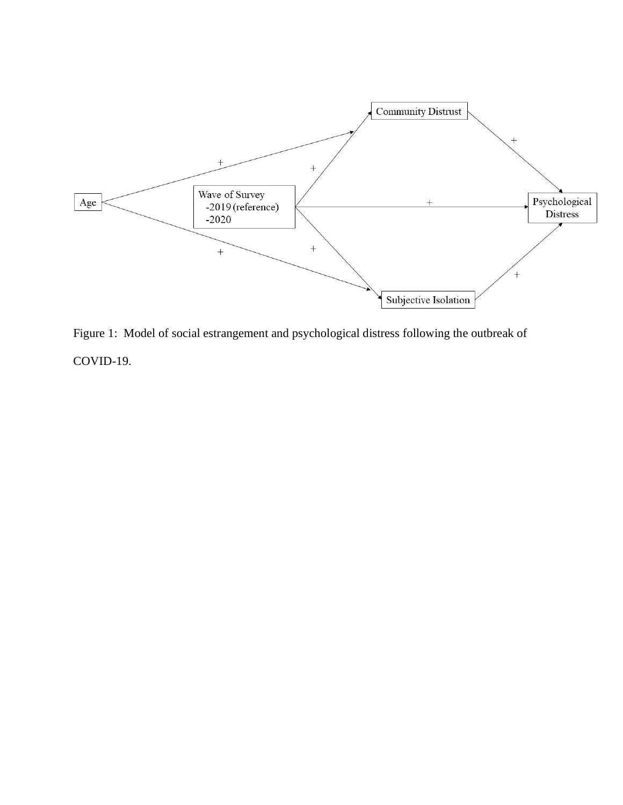

Figure 1: Model of social estrangement and psychological distress following the outbreak of COVID-19.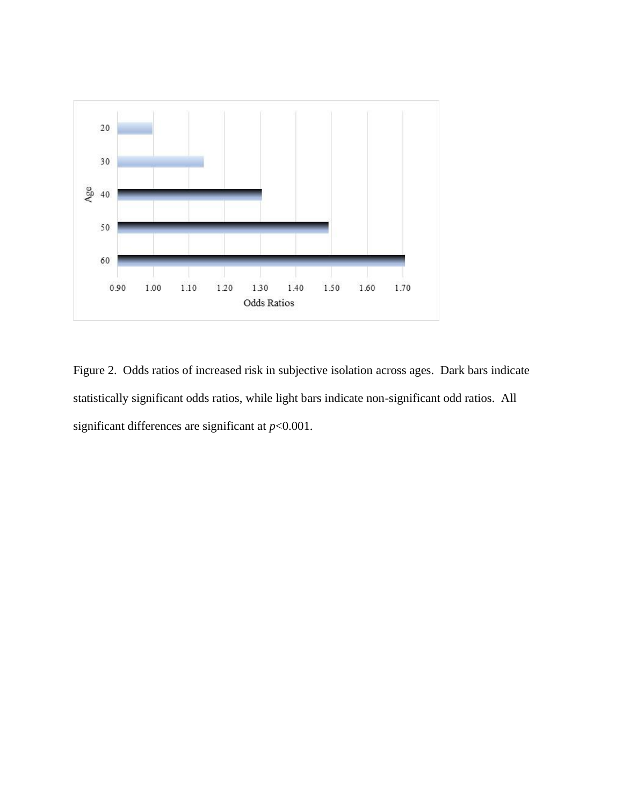

Figure 2. Odds ratios of increased risk in subjective isolation across ages. Dark bars indicate statistically significant odds ratios, while light bars indicate non-significant odd ratios. All significant differences are significant at *p*<0.001.